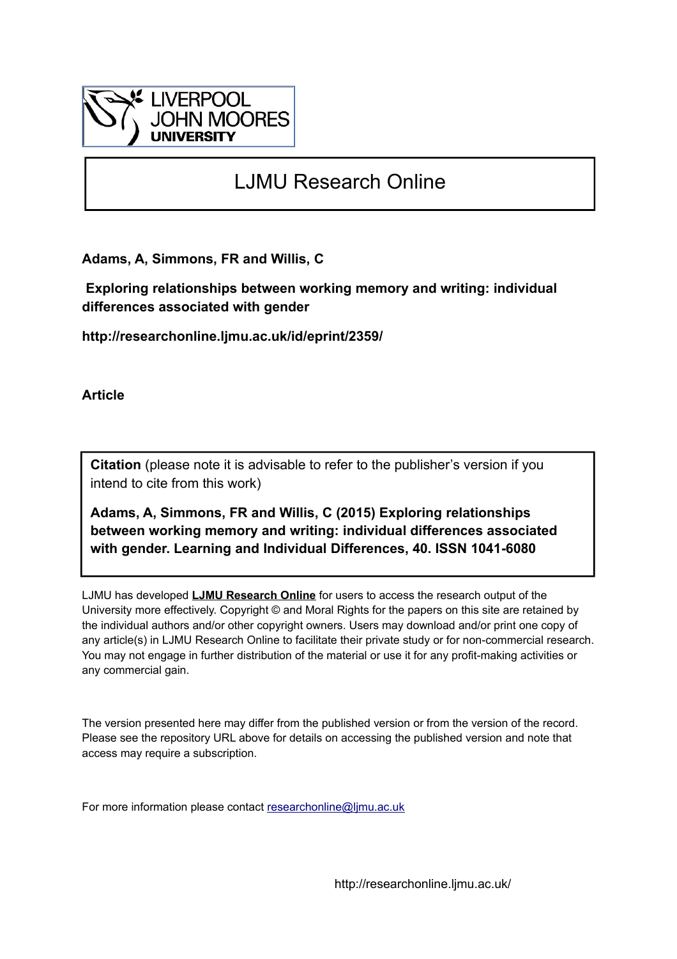

# LJMU Research Online

**Adams, A, Simmons, FR and Willis, C**

 **Exploring relationships between working memory and writing: individual differences associated with gender**

**http://researchonline.ljmu.ac.uk/id/eprint/2359/**

**Article**

**Citation** (please note it is advisable to refer to the publisher's version if you intend to cite from this work)

**Adams, A, Simmons, FR and Willis, C (2015) Exploring relationships between working memory and writing: individual differences associated with gender. Learning and Individual Differences, 40. ISSN 1041-6080** 

LJMU has developed **[LJMU Research Online](http://researchonline.ljmu.ac.uk/)** for users to access the research output of the University more effectively. Copyright © and Moral Rights for the papers on this site are retained by the individual authors and/or other copyright owners. Users may download and/or print one copy of any article(s) in LJMU Research Online to facilitate their private study or for non-commercial research. You may not engage in further distribution of the material or use it for any profit-making activities or any commercial gain.

The version presented here may differ from the published version or from the version of the record. Please see the repository URL above for details on accessing the published version and note that access may require a subscription.

For more information please contact [researchonline@ljmu.ac.uk](mailto:researchonline@ljmu.ac.uk)

http://researchonline.ljmu.ac.uk/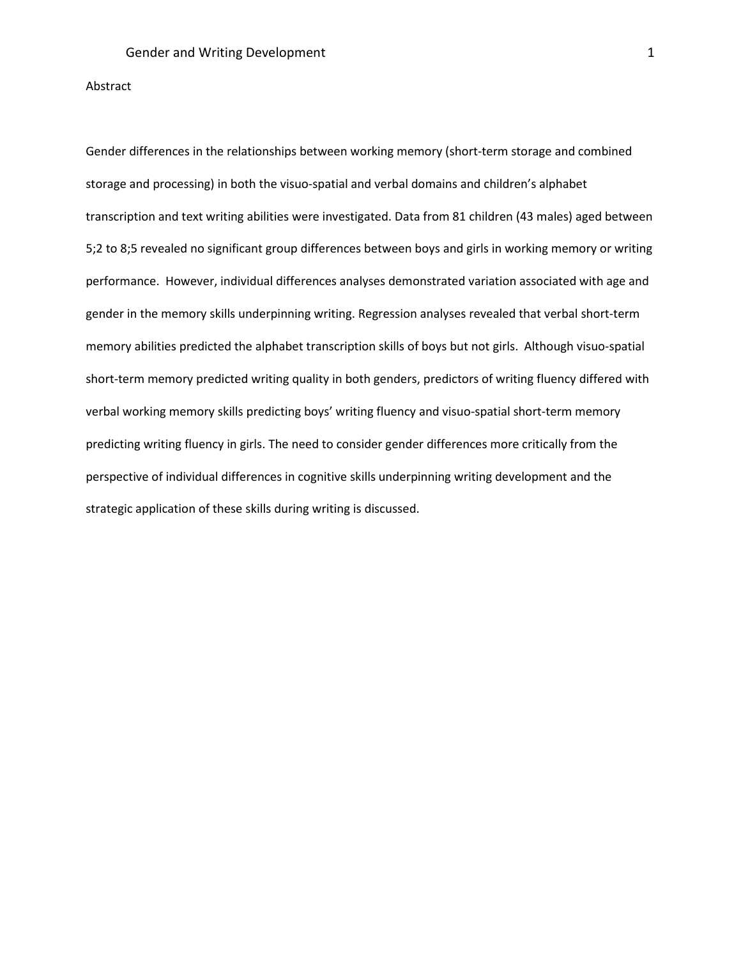#### Abstract

Gender differences in the relationships between working memory (short-term storage and combined storage and processing) in both the visuo-spatial and verbal domains and children's alphabet transcription and text writing abilities were investigated. Data from 81 children (43 males) aged between 5;2 to 8;5 revealed no significant group differences between boys and girls in working memory or writing performance. However, individual differences analyses demonstrated variation associated with age and gender in the memory skills underpinning writing. Regression analyses revealed that verbal short-term memory abilities predicted the alphabet transcription skills of boys but not girls. Although visuo-spatial short-term memory predicted writing quality in both genders, predictors of writing fluency differed with verbal working memory skills predicting boys' writing fluency and visuo-spatial short-term memory predicting writing fluency in girls. The need to consider gender differences more critically from the perspective of individual differences in cognitive skills underpinning writing development and the strategic application of these skills during writing is discussed.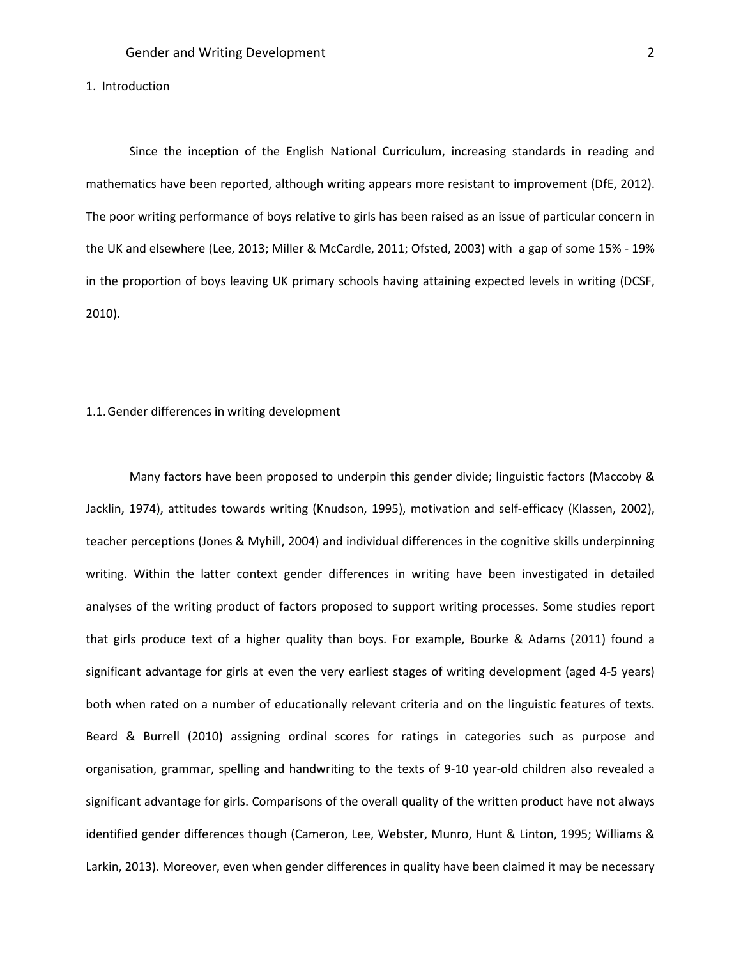#### 1. Introduction

Since the inception of the English National Curriculum, increasing standards in reading and mathematics have been reported, although writing appears more resistant to improvement (DfE, 2012). The poor writing performance of boys relative to girls has been raised as an issue of particular concern in the UK and elsewhere (Lee, 2013; Miller & McCardle, 2011; Ofsted, 2003) with a gap of some 15% - 19% in the proportion of boys leaving UK primary schools having attaining expected levels in writing (DCSF, 2010).

#### 1.1.Gender differences in writing development

Many factors have been proposed to underpin this gender divide; linguistic factors (Maccoby & Jacklin, 1974), attitudes towards writing (Knudson, 1995), motivation and self-efficacy (Klassen, 2002), teacher perceptions (Jones & Myhill, 2004) and individual differences in the cognitive skills underpinning writing. Within the latter context gender differences in writing have been investigated in detailed analyses of the writing product of factors proposed to support writing processes. Some studies report that girls produce text of a higher quality than boys. For example, Bourke & Adams (2011) found a significant advantage for girls at even the very earliest stages of writing development (aged 4-5 years) both when rated on a number of educationally relevant criteria and on the linguistic features of texts. Beard & Burrell (2010) assigning ordinal scores for ratings in categories such as purpose and organisation, grammar, spelling and handwriting to the texts of 9-10 year-old children also revealed a significant advantage for girls. Comparisons of the overall quality of the written product have not always identified gender differences though (Cameron, Lee, Webster, Munro, Hunt & Linton, 1995; Williams & Larkin, 2013). Moreover, even when gender differences in quality have been claimed it may be necessary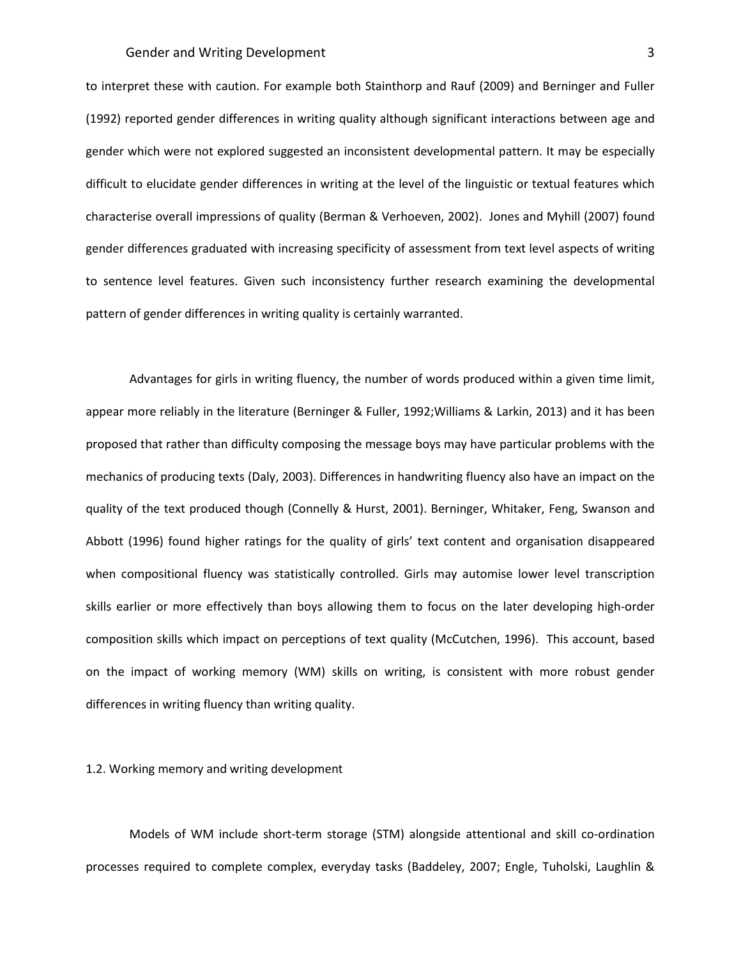to interpret these with caution. For example both Stainthorp and Rauf (2009) and Berninger and Fuller (1992) reported gender differences in writing quality although significant interactions between age and gender which were not explored suggested an inconsistent developmental pattern. It may be especially difficult to elucidate gender differences in writing at the level of the linguistic or textual features which characterise overall impressions of quality (Berman & Verhoeven, 2002). Jones and Myhill (2007) found gender differences graduated with increasing specificity of assessment from text level aspects of writing to sentence level features. Given such inconsistency further research examining the developmental pattern of gender differences in writing quality is certainly warranted.

Advantages for girls in writing fluency, the number of words produced within a given time limit, appear more reliably in the literature (Berninger & Fuller, 1992;Williams & Larkin, 2013) and it has been proposed that rather than difficulty composing the message boys may have particular problems with the mechanics of producing texts (Daly, 2003). Differences in handwriting fluency also have an impact on the quality of the text produced though (Connelly & Hurst, 2001). Berninger, Whitaker, Feng, Swanson and Abbott (1996) found higher ratings for the quality of girls' text content and organisation disappeared when compositional fluency was statistically controlled. Girls may automise lower level transcription skills earlier or more effectively than boys allowing them to focus on the later developing high-order composition skills which impact on perceptions of text quality (McCutchen, 1996). This account, based on the impact of working memory (WM) skills on writing, is consistent with more robust gender differences in writing fluency than writing quality.

#### 1.2. Working memory and writing development

Models of WM include short-term storage (STM) alongside attentional and skill co-ordination processes required to complete complex, everyday tasks (Baddeley, 2007; Engle, Tuholski, Laughlin &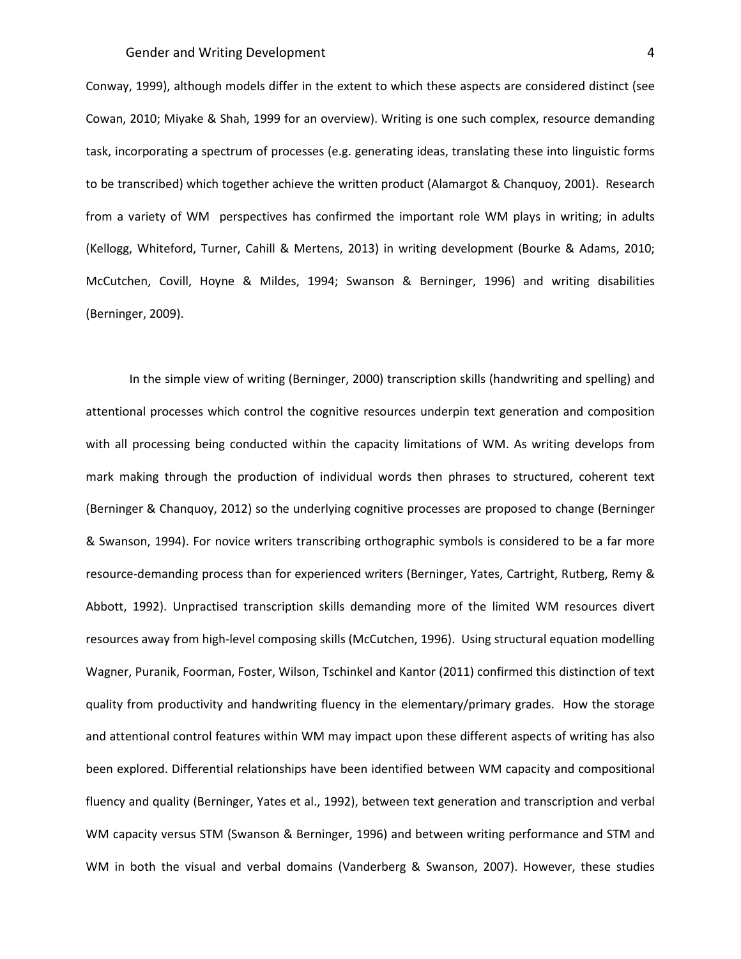Conway, 1999), although models differ in the extent to which these aspects are considered distinct (see Cowan, 2010; Miyake & Shah, 1999 for an overview). Writing is one such complex, resource demanding task, incorporating a spectrum of processes (e.g. generating ideas, translating these into linguistic forms to be transcribed) which together achieve the written product (Alamargot & Chanquoy, 2001). Research from a variety of WM perspectives has confirmed the important role WM plays in writing; in adults (Kellogg, Whiteford, Turner, Cahill & Mertens, 2013) in writing development (Bourke & Adams, 2010; McCutchen, Covill, Hoyne & Mildes, 1994; Swanson & Berninger, 1996) and writing disabilities (Berninger, 2009).

In the simple view of writing (Berninger, 2000) transcription skills (handwriting and spelling) and attentional processes which control the cognitive resources underpin text generation and composition with all processing being conducted within the capacity limitations of WM. As writing develops from mark making through the production of individual words then phrases to structured, coherent text (Berninger & Chanquoy, 2012) so the underlying cognitive processes are proposed to change (Berninger & Swanson, 1994). For novice writers transcribing orthographic symbols is considered to be a far more resource-demanding process than for experienced writers (Berninger, Yates, Cartright, Rutberg, Remy & Abbott, 1992). Unpractised transcription skills demanding more of the limited WM resources divert resources away from high-level composing skills (McCutchen, 1996). Using structural equation modelling Wagner, Puranik, Foorman, Foster, Wilson, Tschinkel and Kantor (2011) confirmed this distinction of text quality from productivity and handwriting fluency in the elementary/primary grades. How the storage and attentional control features within WM may impact upon these different aspects of writing has also been explored. Differential relationships have been identified between WM capacity and compositional fluency and quality (Berninger, Yates et al., 1992), between text generation and transcription and verbal WM capacity versus STM (Swanson & Berninger, 1996) and between writing performance and STM and WM in both the visual and verbal domains (Vanderberg & Swanson, 2007). However, these studies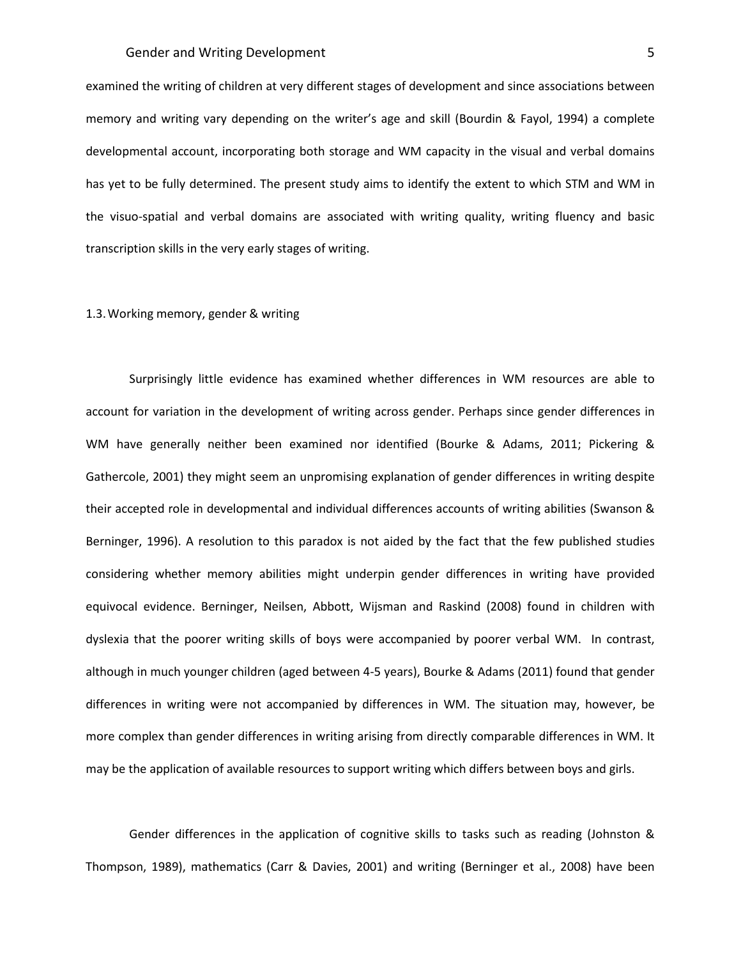examined the writing of children at very different stages of development and since associations between memory and writing vary depending on the writer's age and skill (Bourdin & Fayol, 1994) a complete developmental account, incorporating both storage and WM capacity in the visual and verbal domains has yet to be fully determined. The present study aims to identify the extent to which STM and WM in the visuo-spatial and verbal domains are associated with writing quality, writing fluency and basic transcription skills in the very early stages of writing.

#### 1.3.Working memory, gender & writing

Surprisingly little evidence has examined whether differences in WM resources are able to account for variation in the development of writing across gender. Perhaps since gender differences in WM have generally neither been examined nor identified (Bourke & Adams, 2011; Pickering & Gathercole, 2001) they might seem an unpromising explanation of gender differences in writing despite their accepted role in developmental and individual differences accounts of writing abilities (Swanson & Berninger, 1996). A resolution to this paradox is not aided by the fact that the few published studies considering whether memory abilities might underpin gender differences in writing have provided equivocal evidence. Berninger, Neilsen, Abbott, Wijsman and Raskind (2008) found in children with dyslexia that the poorer writing skills of boys were accompanied by poorer verbal WM. In contrast, although in much younger children (aged between 4-5 years), Bourke & Adams (2011) found that gender differences in writing were not accompanied by differences in WM. The situation may, however, be more complex than gender differences in writing arising from directly comparable differences in WM. It may be the application of available resources to support writing which differs between boys and girls.

Gender differences in the application of cognitive skills to tasks such as reading (Johnston & Thompson, 1989), mathematics (Carr & Davies, 2001) and writing (Berninger et al., 2008) have been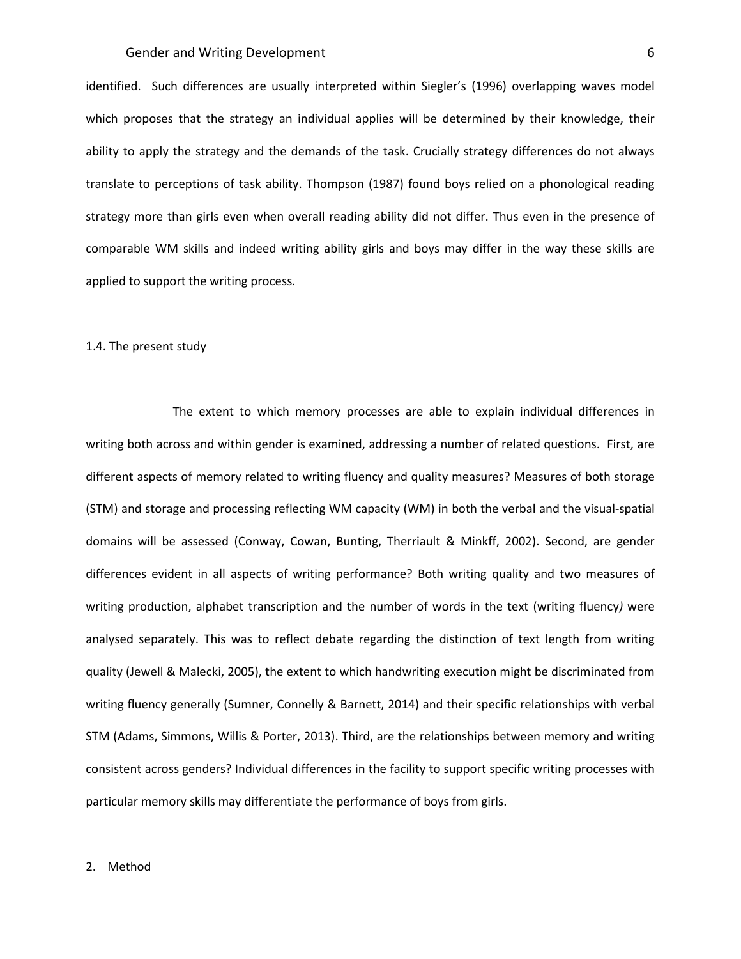## Gender and Writing Development 6 and 5 and 6 and 6 and 6 and 6 and 6 and 6 and 6 and 6 and 6 and 6 and 6 and 6  $\frac{1}{2}$

identified. Such differences are usually interpreted within Siegler's (1996) overlapping waves model which proposes that the strategy an individual applies will be determined by their knowledge, their ability to apply the strategy and the demands of the task. Crucially strategy differences do not always translate to perceptions of task ability. Thompson (1987) found boys relied on a phonological reading strategy more than girls even when overall reading ability did not differ. Thus even in the presence of comparable WM skills and indeed writing ability girls and boys may differ in the way these skills are applied to support the writing process.

#### 1.4. The present study

The extent to which memory processes are able to explain individual differences in writing both across and within gender is examined, addressing a number of related questions. First, are different aspects of memory related to writing fluency and quality measures? Measures of both storage (STM) and storage and processing reflecting WM capacity (WM) in both the verbal and the visual-spatial domains will be assessed (Conway, Cowan, Bunting, Therriault & Minkff, 2002). Second, are gender differences evident in all aspects of writing performance? Both writing quality and two measures of writing production, alphabet transcription and the number of words in the text (writing fluency*)* were analysed separately. This was to reflect debate regarding the distinction of text length from writing quality (Jewell & Malecki, 2005), the extent to which handwriting execution might be discriminated from writing fluency generally (Sumner, Connelly & Barnett, 2014) and their specific relationships with verbal STM (Adams, Simmons, Willis & Porter, 2013). Third, are the relationships between memory and writing consistent across genders? Individual differences in the facility to support specific writing processes with particular memory skills may differentiate the performance of boys from girls.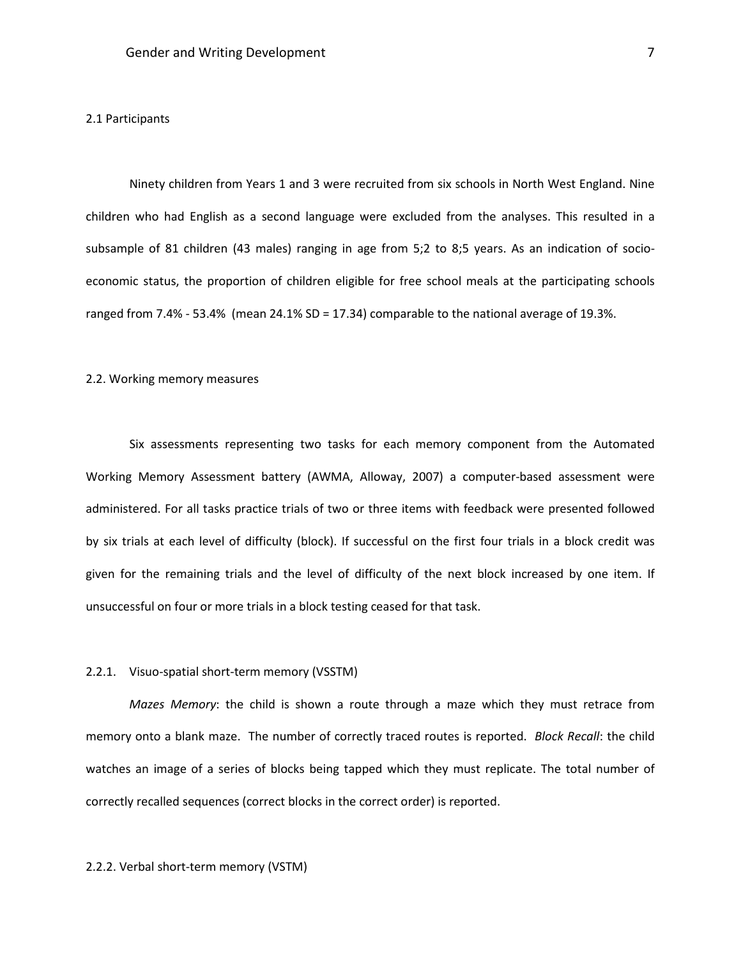#### 2.1 Participants

Ninety children from Years 1 and 3 were recruited from six schools in North West England. Nine children who had English as a second language were excluded from the analyses. This resulted in a subsample of 81 children (43 males) ranging in age from 5;2 to 8;5 years. As an indication of socioeconomic status, the proportion of children eligible for free school meals at the participating schools ranged from 7.4% - 53.4% (mean 24.1% SD = 17.34) comparable to the national average of 19.3%.

#### 2.2. Working memory measures

Six assessments representing two tasks for each memory component from the Automated Working Memory Assessment battery (AWMA, Alloway, 2007) a computer-based assessment were administered. For all tasks practice trials of two or three items with feedback were presented followed by six trials at each level of difficulty (block). If successful on the first four trials in a block credit was given for the remaining trials and the level of difficulty of the next block increased by one item. If unsuccessful on four or more trials in a block testing ceased for that task.

## 2.2.1. Visuo-spatial short-term memory (VSSTM)

*Mazes Memory*: the child is shown a route through a maze which they must retrace from memory onto a blank maze. The number of correctly traced routes is reported. *Block Recall*: the child watches an image of a series of blocks being tapped which they must replicate. The total number of correctly recalled sequences (correct blocks in the correct order) is reported.

## 2.2.2. Verbal short-term memory (VSTM)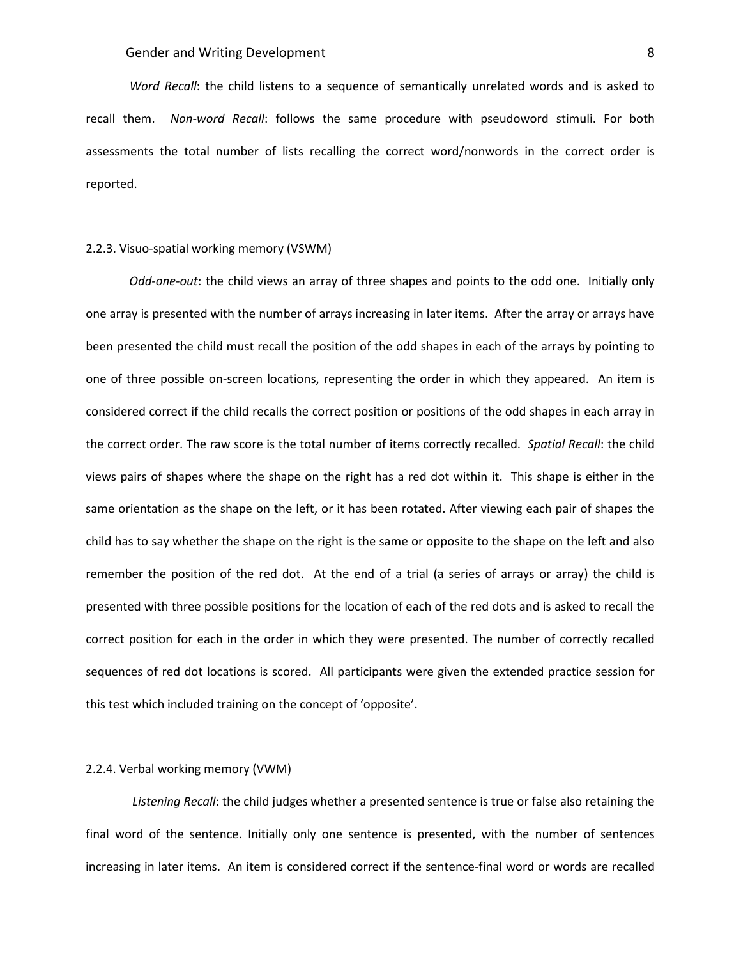*Word Recall*: the child listens to a sequence of semantically unrelated words and is asked to recall them. *Non-word Recall*: follows the same procedure with pseudoword stimuli. For both assessments the total number of lists recalling the correct word/nonwords in the correct order is reported.

#### 2.2.3. Visuo-spatial working memory (VSWM)

*Odd-one-out*: the child views an array of three shapes and points to the odd one. Initially only one array is presented with the number of arrays increasing in later items. After the array or arrays have been presented the child must recall the position of the odd shapes in each of the arrays by pointing to one of three possible on-screen locations, representing the order in which they appeared. An item is considered correct if the child recalls the correct position or positions of the odd shapes in each array in the correct order. The raw score is the total number of items correctly recalled. *Spatial Recall*: the child views pairs of shapes where the shape on the right has a red dot within it. This shape is either in the same orientation as the shape on the left, or it has been rotated. After viewing each pair of shapes the child has to say whether the shape on the right is the same or opposite to the shape on the left and also remember the position of the red dot. At the end of a trial (a series of arrays or array) the child is presented with three possible positions for the location of each of the red dots and is asked to recall the correct position for each in the order in which they were presented. The number of correctly recalled sequences of red dot locations is scored. All participants were given the extended practice session for this test which included training on the concept of 'opposite'.

#### 2.2.4. Verbal working memory (VWM)

*Listening Recall*: the child judges whether a presented sentence is true or false also retaining the final word of the sentence. Initially only one sentence is presented, with the number of sentences increasing in later items. An item is considered correct if the sentence-final word or words are recalled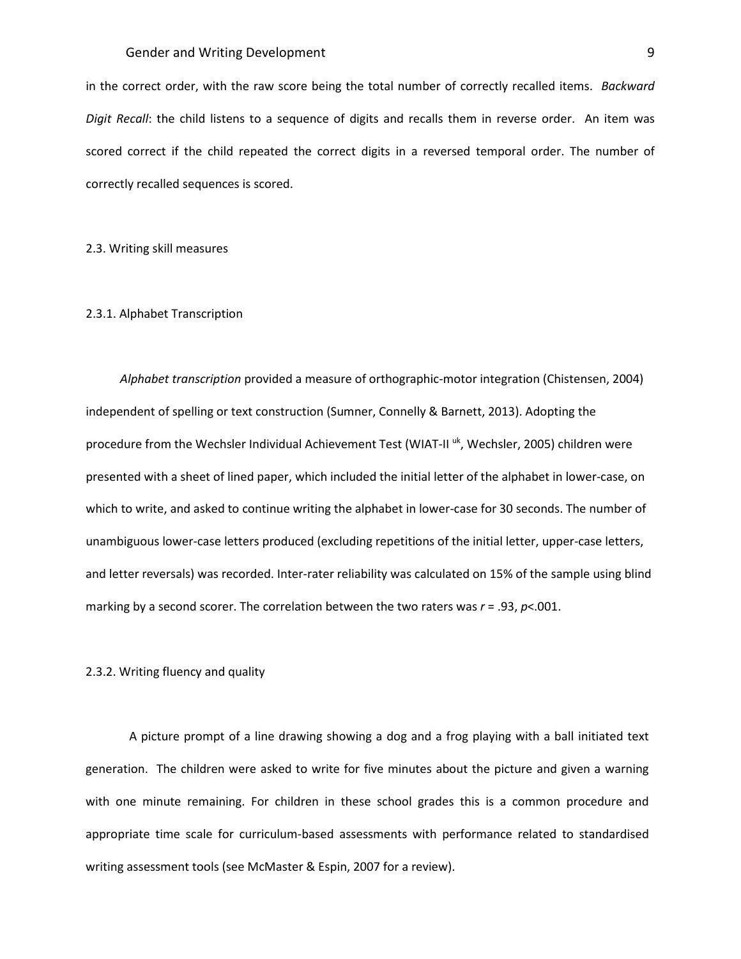## Gender and Writing Development and Senator 19 and 2008 19 and 2008 19 and 2008 19 and 2008 19 and 2008 19 and 20

in the correct order, with the raw score being the total number of correctly recalled items. *Backward Digit Recall*: the child listens to a sequence of digits and recalls them in reverse order. An item was scored correct if the child repeated the correct digits in a reversed temporal order. The number of correctly recalled sequences is scored.

#### 2.3. Writing skill measures

#### 2.3.1. Alphabet Transcription

*Alphabet transcription* provided a measure of orthographic-motor integration (Chistensen, 2004) independent of spelling or text construction (Sumner, Connelly & Barnett, 2013). Adopting the procedure from the Wechsler Individual Achievement Test (WIAT-II <sup>uk</sup>, Wechsler, 2005) children were presented with a sheet of lined paper, which included the initial letter of the alphabet in lower-case, on which to write, and asked to continue writing the alphabet in lower-case for 30 seconds. The number of unambiguous lower-case letters produced (excluding repetitions of the initial letter, upper-case letters, and letter reversals) was recorded. Inter-rater reliability was calculated on 15% of the sample using blind marking by a second scorer. The correlation between the two raters was *r* = .93, *p*<.001.

## 2.3.2. Writing fluency and quality

A picture prompt of a line drawing showing a dog and a frog playing with a ball initiated text generation. The children were asked to write for five minutes about the picture and given a warning with one minute remaining. For children in these school grades this is a common procedure and appropriate time scale for curriculum-based assessments with performance related to standardised writing assessment tools (see McMaster & Espin, 2007 for a review).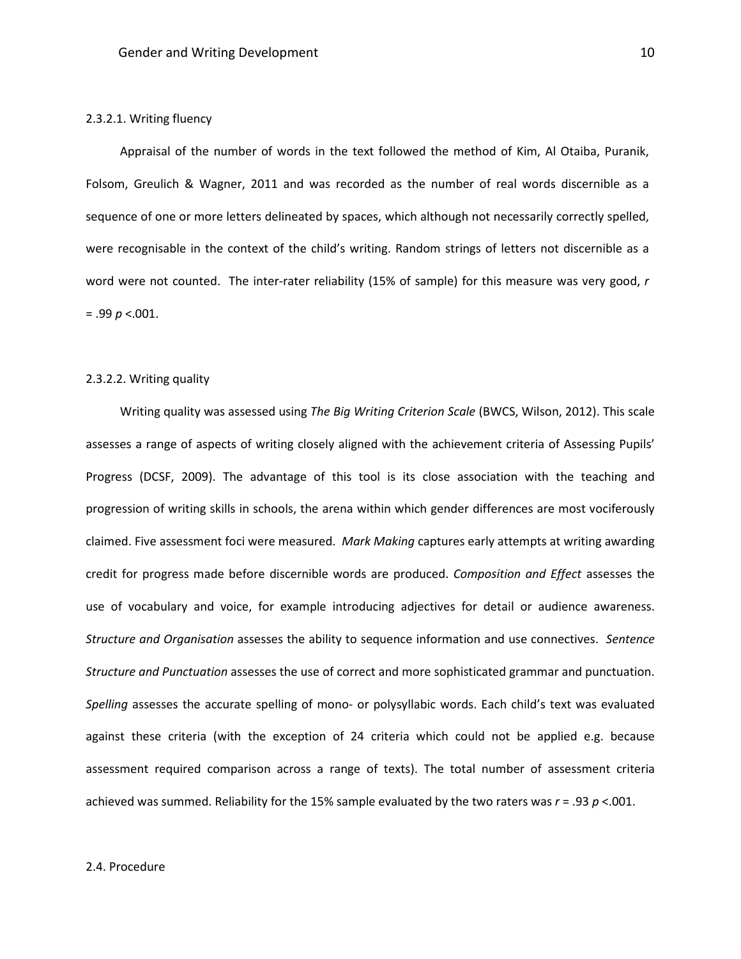#### 2.3.2.1. Writing fluency

Appraisal of the number of words in the text followed the method of Kim, Al Otaiba, Puranik, Folsom, Greulich & Wagner, 2011 and was recorded as the number of real words discernible as a sequence of one or more letters delineated by spaces, which although not necessarily correctly spelled, were recognisable in the context of the child's writing. Random strings of letters not discernible as a word were not counted. The inter-rater reliability (15% of sample) for this measure was very good, *r* = .99 *p* <.001.

## 2.3.2.2. Writing quality

Writing quality was assessed using *The Big Writing Criterion Scale* (BWCS, Wilson, 2012). This scale assesses a range of aspects of writing closely aligned with the achievement criteria of Assessing Pupils' Progress (DCSF, 2009). The advantage of this tool is its close association with the teaching and progression of writing skills in schools, the arena within which gender differences are most vociferously claimed. Five assessment foci were measured. *Mark Making* captures early attempts at writing awarding credit for progress made before discernible words are produced. *Composition and Effect* assesses the use of vocabulary and voice, for example introducing adjectives for detail or audience awareness. *Structure and Organisation* assesses the ability to sequence information and use connectives. *Sentence Structure and Punctuation* assesses the use of correct and more sophisticated grammar and punctuation. *Spelling* assesses the accurate spelling of mono- or polysyllabic words. Each child's text was evaluated against these criteria (with the exception of 24 criteria which could not be applied e.g. because assessment required comparison across a range of texts). The total number of assessment criteria achieved was summed. Reliability for the 15% sample evaluated by the two raters was *r* = .93 *p* <.001.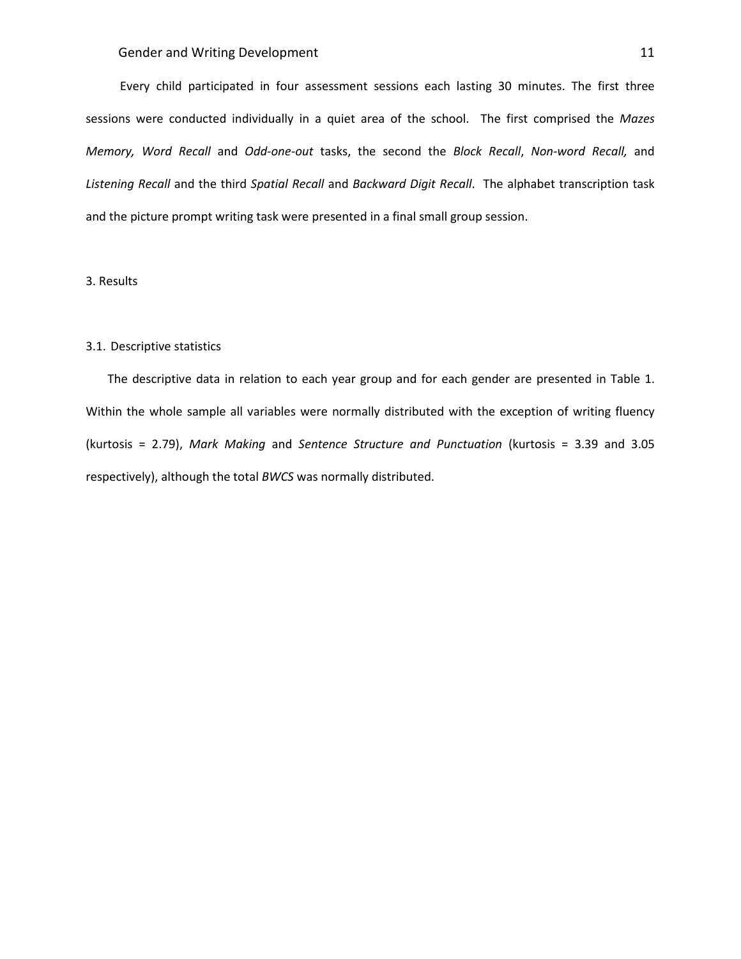Every child participated in four assessment sessions each lasting 30 minutes. The first three sessions were conducted individually in a quiet area of the school. The first comprised the *Mazes Memory, Word Recall* and *Odd-one-out* tasks, the second the *Block Recall*, *Non-word Recall,* and *Listening Recall* and the third *Spatial Recall* and *Backward Digit Recall*. The alphabet transcription task and the picture prompt writing task were presented in a final small group session.

# 3. Results

# 3.1. Descriptive statistics

The descriptive data in relation to each year group and for each gender are presented in Table 1. Within the whole sample all variables were normally distributed with the exception of writing fluency (kurtosis = 2.79), *Mark Making* and *Sentence Structure and Punctuation* (kurtosis = 3.39 and 3.05 respectively), although the total *BWCS* was normally distributed.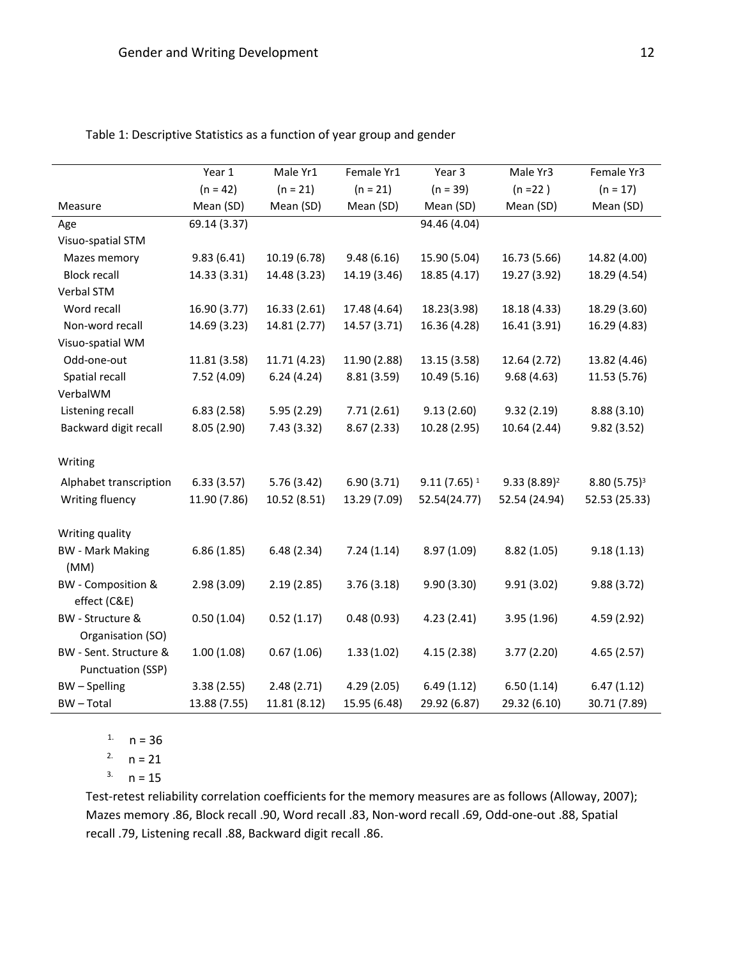|                           | Year 1       | Male Yr1     | Female Yr1   | Year 3         | Male Yr3       | Female Yr3     |
|---------------------------|--------------|--------------|--------------|----------------|----------------|----------------|
|                           | $(n = 42)$   | $(n = 21)$   | $(n = 21)$   | $(n = 39)$     | $(n = 22)$     | $(n = 17)$     |
| Measure                   | Mean (SD)    | Mean (SD)    | Mean (SD)    | Mean (SD)      | Mean (SD)      | Mean (SD)      |
| Age                       | 69.14 (3.37) |              |              | 94.46 (4.04)   |                |                |
| Visuo-spatial STM         |              |              |              |                |                |                |
| Mazes memory              | 9.83(6.41)   | 10.19 (6.78) | 9.48(6.16)   | 15.90 (5.04)   | 16.73 (5.66)   | 14.82 (4.00)   |
| <b>Block recall</b>       | 14.33 (3.31) | 14.48 (3.23) | 14.19 (3.46) | 18.85 (4.17)   | 19.27 (3.92)   | 18.29 (4.54)   |
| Verbal STM                |              |              |              |                |                |                |
| Word recall               | 16.90 (3.77) | 16.33 (2.61) | 17.48 (4.64) | 18.23(3.98)    | 18.18 (4.33)   | 18.29 (3.60)   |
| Non-word recall           | 14.69 (3.23) | 14.81 (2.77) | 14.57 (3.71) | 16.36 (4.28)   | 16.41 (3.91)   | 16.29 (4.83)   |
| Visuo-spatial WM          |              |              |              |                |                |                |
| Odd-one-out               | 11.81 (3.58) | 11.71 (4.23) | 11.90 (2.88) | 13.15 (3.58)   | 12.64 (2.72)   | 13.82 (4.46)   |
| Spatial recall            | 7.52(4.09)   | 6.24(4.24)   | 8.81(3.59)   | 10.49(5.16)    | 9.68(4.63)     | 11.53 (5.76)   |
| VerbalWM                  |              |              |              |                |                |                |
| Listening recall          | 6.83(2.58)   | 5.95(2.29)   | 7.71(2.61)   | 9.13(2.60)     | 9.32(2.19)     | 8.88 (3.10)    |
| Backward digit recall     | 8.05(2.90)   | 7.43 (3.32)  | 8.67(2.33)   | 10.28 (2.95)   | 10.64 (2.44)   | 9.82(3.52)     |
|                           |              |              |              |                |                |                |
| Writing                   |              |              |              |                |                |                |
| Alphabet transcription    | 6.33(3.57)   | 5.76(3.42)   | 6.90(3.71)   | $9.11(7.65)^1$ | $9.33(8.89)^2$ | $8.80(5.75)^3$ |
| Writing fluency           | 11.90 (7.86) | 10.52 (8.51) | 13.29 (7.09) | 52.54(24.77)   | 52.54 (24.94)  | 52.53 (25.33)  |
|                           |              |              |              |                |                |                |
| Writing quality           |              |              |              |                |                |                |
| <b>BW</b> - Mark Making   | 6.86(1.85)   | 6.48(2.34)   | 7.24(1.14)   | 8.97 (1.09)    | 8.82(1.05)     | 9.18(1.13)     |
| (MM)                      |              |              |              |                |                |                |
| <b>BW</b> - Composition & | 2.98(3.09)   | 2.19(2.85)   | 3.76(3.18)   | 9.90(3.30)     | 9.91(3.02)     | 9.88 (3.72)    |
| effect (C&E)              |              |              |              |                |                |                |
| BW - Structure &          | 0.50(1.04)   | 0.52(1.17)   | 0.48(0.93)   | 4.23(2.41)     | 3.95 (1.96)    | 4.59 (2.92)    |
| Organisation (SO)         |              |              |              |                |                |                |
| BW - Sent. Structure &    | 1.00(1.08)   | 0.67(1.06)   | 1.33(1.02)   | 4.15(2.38)     | 3.77(2.20)     | 4.65(2.57)     |
| Punctuation (SSP)         |              |              |              |                |                |                |
| BW-Spelling               | 3.38(2.55)   | 2.48(2.71)   | 4.29 (2.05)  | 6.49(1.12)     | 6.50(1.14)     | 6.47(1.12)     |
| <b>BW-Total</b>           | 13.88 (7.55) | 11.81 (8.12) | 15.95 (6.48) | 29.92 (6.87)   | 29.32 (6.10)   | 30.71 (7.89)   |

Table 1: Descriptive Statistics as a function of year group and gender

 $1. n = 36$ 

<sup>2.</sup>  $n = 21$ 

 $3. n = 15$ 

Test-retest reliability correlation coefficients for the memory measures are as follows (Alloway, 2007); Mazes memory .86, Block recall .90, Word recall .83, Non-word recall .69, Odd-one-out .88, Spatial recall .79, Listening recall .88, Backward digit recall .86.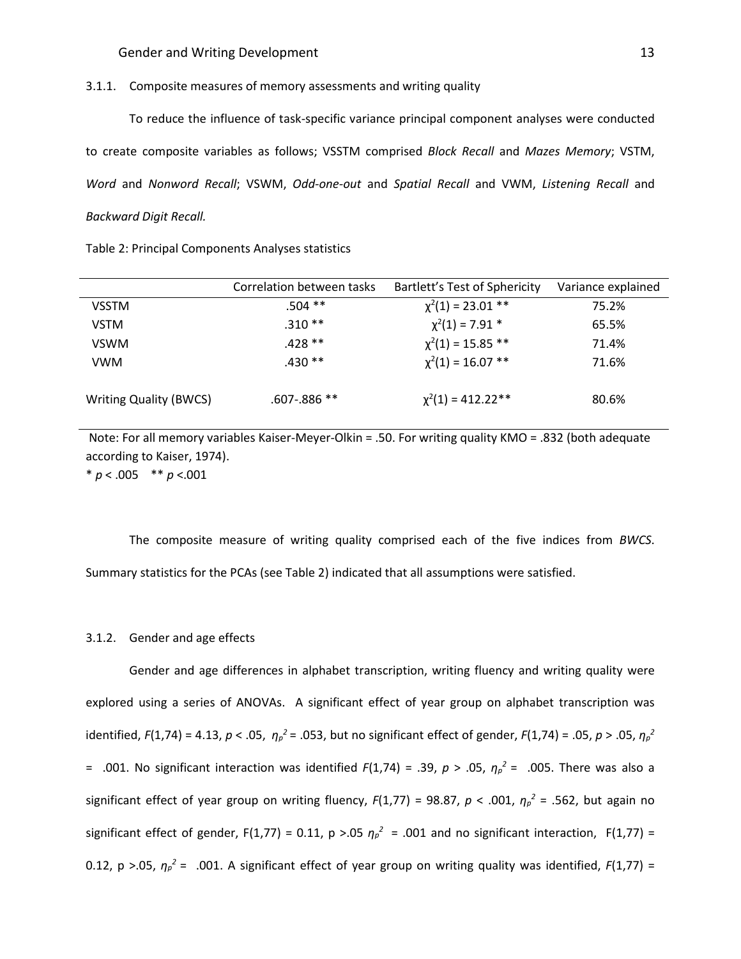#### 3.1.1. Composite measures of memory assessments and writing quality

To reduce the influence of task-specific variance principal component analyses were conducted to create composite variables as follows; VSSTM comprised *Block Recall* and *Mazes Memory*; VSTM, *Word* and *Nonword Recall*; VSWM, *Odd-one-out* and *Spatial Recall* and VWM, *Listening Recall* and *Backward Digit Recall.*

|                               | Correlation between tasks | Bartlett's Test of Sphericity | Variance explained |
|-------------------------------|---------------------------|-------------------------------|--------------------|
| <b>VSSTM</b>                  | $.504$ **                 | $\chi^2(1) = 23.01$ **        | 75.2%              |
| <b>VSTM</b>                   | $.310**$                  | $\chi^2(1) = 7.91$ *          | 65.5%              |
| <b>VSWM</b>                   | $.428**$                  | $\chi^2(1) = 15.85$ **        | 71.4%              |
| <b>VWM</b>                    | $.430**$                  | $\chi^2(1) = 16.07$ **        | 71.6%              |
| <b>Writing Quality (BWCS)</b> | $.607 - .886$ **          | $\chi^2(1) = 412.22**$        | 80.6%              |

Note: For all memory variables Kaiser-Meyer-Olkin = .50. For writing quality KMO = .832 (both adequate according to Kaiser, 1974). \* *p* < .005 \*\* *p* <.001

The composite measure of writing quality comprised each of the five indices from *BWCS*. Summary statistics for the PCAs (see Table 2) indicated that all assumptions were satisfied.

#### 3.1.2. Gender and age effects

Gender and age differences in alphabet transcription, writing fluency and writing quality were explored using a series of ANOVAs. A significant effect of year group on alphabet transcription was identified, *F*(1,74) = 4.13, *p* < .05, *η<sup>p</sup> <sup>2</sup>* = .053, but no significant effect of gender, *F*(1,74) = .05, *p* > .05, *η<sup>p</sup> 2* = .001. No significant interaction was identified *F*(1,74) = .39, *p* > .05, *η<sup>p</sup> <sup>2</sup>* = .005. There was also a significant effect of year group on writing fluency, *F*(1,77) = 98.87, *p* < .001, *η<sup>p</sup> <sup>2</sup>* = .562, but again no significant effect of gender, F(1,77) = 0.11,  $p > 0.05$   $\eta_p^2$  = .001 and no significant interaction, F(1,77) = 0.12, p >.05,  $\eta_p^2$  = .001. A significant effect of year group on writing quality was identified,  $F(1,77)$  =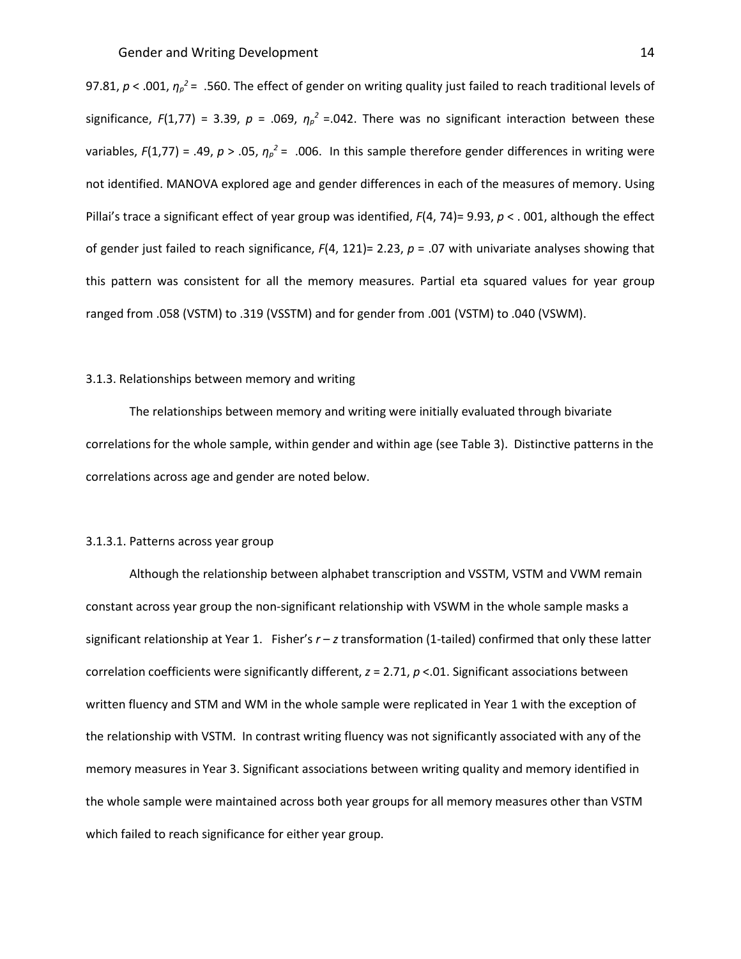97.81, *p* < .001, *η<sup>p</sup> <sup>2</sup>* = .560. The effect of gender on writing quality just failed to reach traditional levels of significance,  $F(1,77) = 3.39$ ,  $p = .069$ ,  $\eta_p^2 = .042$ . There was no significant interaction between these variables,  $F(1,77) = .49$ ,  $p > .05$ ,  $\eta_p^2 = .006$ . In this sample therefore gender differences in writing were not identified. MANOVA explored age and gender differences in each of the measures of memory. Using Pillai's trace a significant effect of year group was identified, *F*(4, 74)= 9.93, *p* < . 001, although the effect of gender just failed to reach significance, *F*(4, 121)= 2.23, *p* = .07 with univariate analyses showing that this pattern was consistent for all the memory measures. Partial eta squared values for year group ranged from .058 (VSTM) to .319 (VSSTM) and for gender from .001 (VSTM) to .040 (VSWM).

#### 3.1.3. Relationships between memory and writing

The relationships between memory and writing were initially evaluated through bivariate correlations for the whole sample, within gender and within age (see Table 3). Distinctive patterns in the correlations across age and gender are noted below.

## 3.1.3.1. Patterns across year group

Although the relationship between alphabet transcription and VSSTM, VSTM and VWM remain constant across year group the non-significant relationship with VSWM in the whole sample masks a significant relationship at Year 1. Fisher's *r* – *z* transformation (1-tailed) confirmed that only these latter correlation coefficients were significantly different, *z* = 2.71, *p* <.01. Significant associations between written fluency and STM and WM in the whole sample were replicated in Year 1 with the exception of the relationship with VSTM. In contrast writing fluency was not significantly associated with any of the memory measures in Year 3. Significant associations between writing quality and memory identified in the whole sample were maintained across both year groups for all memory measures other than VSTM which failed to reach significance for either year group.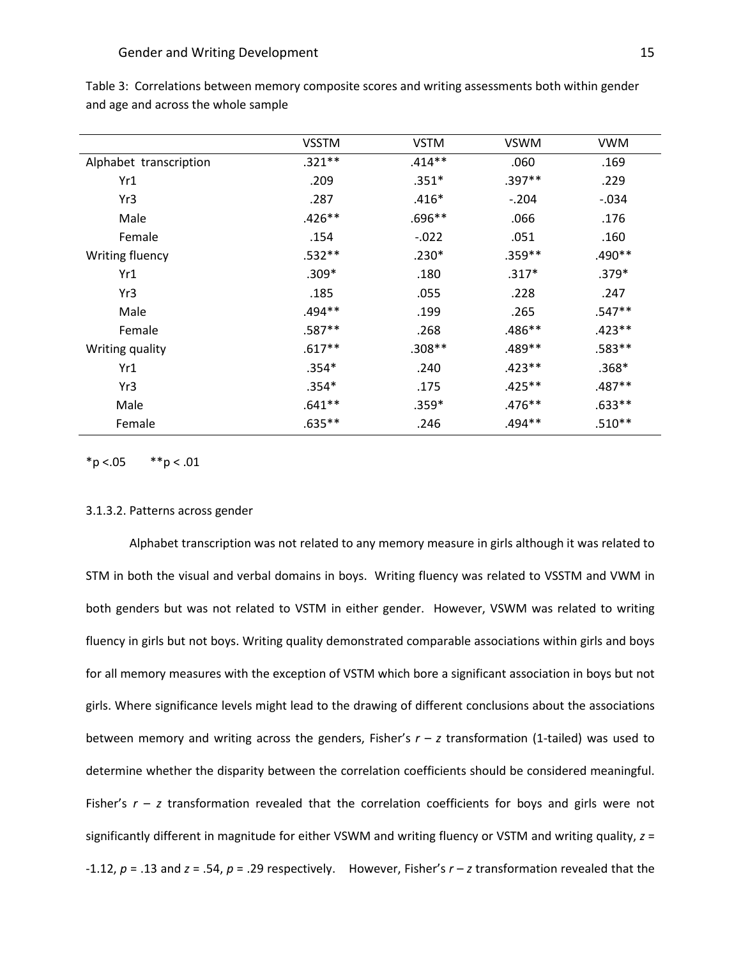|                        | <b>VSSTM</b> | <b>VSTM</b> | <b>VSWM</b> | <b>VWM</b> |
|------------------------|--------------|-------------|-------------|------------|
| Alphabet transcription | $.321**$     | $.414**$    | .060        | .169       |
| Yr1                    | .209         | $.351*$     | $.397**$    | .229       |
| Yr3                    | .287         | $.416*$     | $-.204$     | $-.034$    |
| Male                   | $.426**$     | .696**      | .066        | .176       |
| Female                 | .154         | $-.022$     | .051        | .160       |
| Writing fluency        | $.532**$     | $.230*$     | $.359**$    | .490**     |
| Yr1                    | $.309*$      | .180        | $.317*$     | $.379*$    |
| Yr3                    | .185         | .055        | .228        | .247       |
| Male                   | $.494**$     | .199        | .265        | $.547**$   |
| Female                 | $.587**$     | .268        | $.486**$    | $.423**$   |
| Writing quality        | $.617**$     | $.308**$    | .489**      | .583**     |
| Yr1                    | $.354*$      | .240        | $.423**$    | $.368*$    |
| Yr3                    | $.354*$      | .175        | $.425**$    | $.487**$   |
| Male                   | $.641**$     | $.359*$     | $.476**$    | $.633**$   |
| Female                 | $.635***$    | .246        | $.494**$    | $.510**$   |
|                        |              |             |             |            |

Table 3: Correlations between memory composite scores and writing assessments both within gender and age and across the whole sample

 $*p < .05$   $*p < .01$ 

#### 3.1.3.2. Patterns across gender

Alphabet transcription was not related to any memory measure in girls although it was related to STM in both the visual and verbal domains in boys. Writing fluency was related to VSSTM and VWM in both genders but was not related to VSTM in either gender. However, VSWM was related to writing fluency in girls but not boys. Writing quality demonstrated comparable associations within girls and boys for all memory measures with the exception of VSTM which bore a significant association in boys but not girls. Where significance levels might lead to the drawing of different conclusions about the associations between memory and writing across the genders, Fisher's  $r - z$  transformation (1-tailed) was used to determine whether the disparity between the correlation coefficients should be considered meaningful. Fisher's  $r - z$  transformation revealed that the correlation coefficients for boys and girls were not significantly different in magnitude for either VSWM and writing fluency or VSTM and writing quality, *z* = -1.12, *p* = .13 and *z* = .54, *p* = .29 respectively. However, Fisher's *r* – *z* transformation revealed that the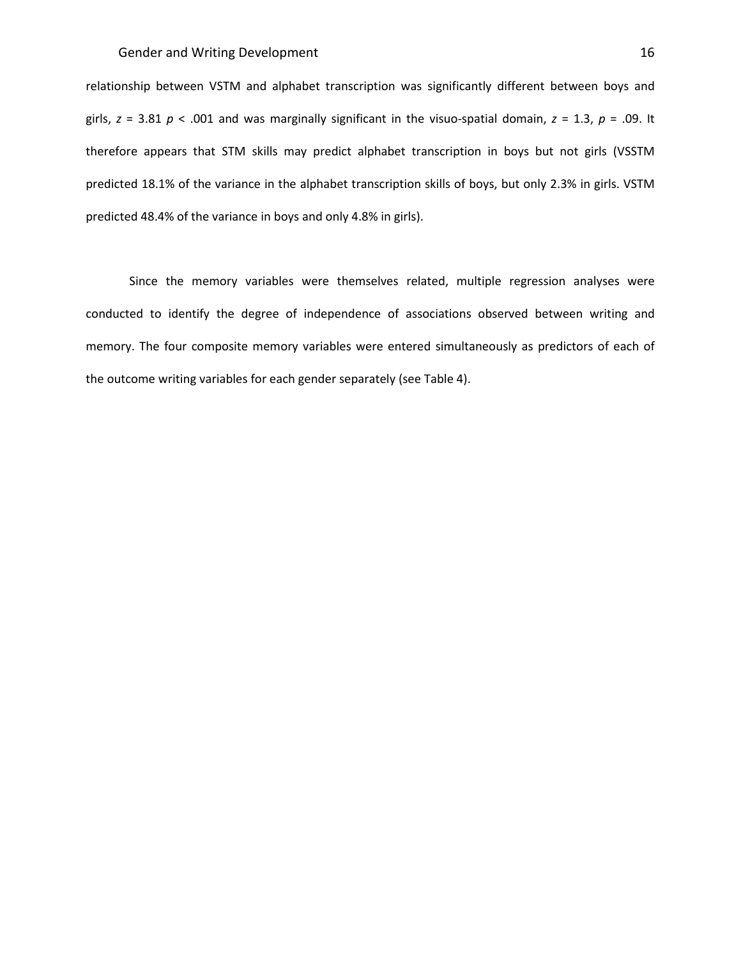relationship between VSTM and alphabet transcription was significantly different between boys and girls, *z* = 3.81 *p* < .001 and was marginally significant in the visuo-spatial domain, *z* = 1.3, *p* = .09. It therefore appears that STM skills may predict alphabet transcription in boys but not girls (VSSTM predicted 18.1% of the variance in the alphabet transcription skills of boys, but only 2.3% in girls. VSTM predicted 48.4% of the variance in boys and only 4.8% in girls).

Since the memory variables were themselves related, multiple regression analyses were conducted to identify the degree of independence of associations observed between writing and memory. The four composite memory variables were entered simultaneously as predictors of each of the outcome writing variables for each gender separately (see Table 4).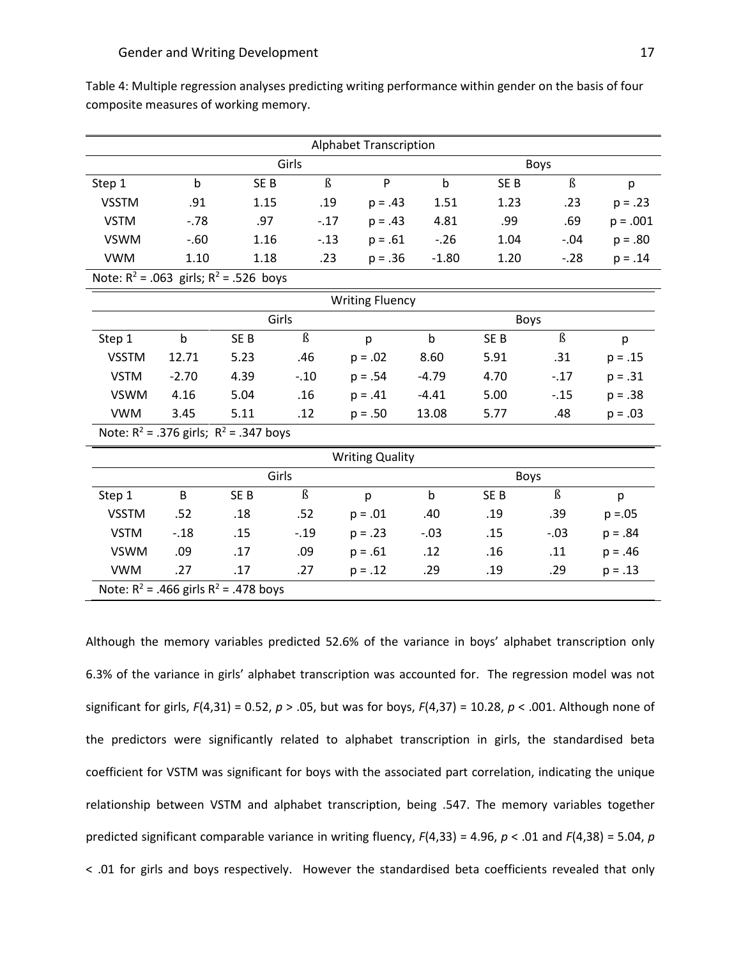| Table 4: Multiple regression analyses predicting writing performance within gender on the basis of four |
|---------------------------------------------------------------------------------------------------------|
| composite measures of working memory.                                                                   |

| <b>Alphabet Transcription</b>               |                                             |                 |                      |             |              |                 |         |            |
|---------------------------------------------|---------------------------------------------|-----------------|----------------------|-------------|--------------|-----------------|---------|------------|
| Girls                                       |                                             |                 |                      |             | Boys         |                 |         |            |
| Step 1                                      | $\mathbf b$                                 | SE <sub>B</sub> | $\beta$              | P           | $\mathsf b$  | SE <sub>B</sub> | $\beta$ | p          |
| <b>VSSTM</b>                                | .91                                         | 1.15            | .19                  | $p = .43$   | 1.51         | 1.23            | .23     | $p = .23$  |
| <b>VSTM</b>                                 | $-.78$                                      | .97             | $-.17$               | $p = .43$   | 4.81         | .99             | .69     | $p = .001$ |
| <b>VSWM</b>                                 | $-.60$                                      | 1.16            | $-.13$               | $p = .61$   | $-.26$       | 1.04            | $-.04$  | $p = .80$  |
| <b>VWM</b>                                  | 1.10                                        | 1.18            | .23                  | $p = .36$   | $-1.80$      | 1.20            | $-28$   | $p = .14$  |
|                                             | Note: $R^2$ = .063 girls; $R^2$ = .526 boys |                 |                      |             |              |                 |         |            |
| <b>Writing Fluency</b>                      |                                             |                 |                      |             |              |                 |         |            |
| Girls                                       |                                             |                 |                      |             | <b>Boys</b>  |                 |         |            |
| Step 1                                      | $\mathsf b$                                 | SE <sub>B</sub> | $\beta$              | p           | $\mathsf{b}$ | SE <sub>B</sub> | $\beta$ | p          |
| <b>VSSTM</b>                                | 12.71                                       | 5.23            | .46                  | $p = .02$   | 8.60         | 5.91            | .31     | $p = .15$  |
| <b>VSTM</b>                                 | $-2.70$                                     | 4.39            | $-.10$               | $p = .54$   | $-4.79$      | 4.70            | $-.17$  | $p = .31$  |
| <b>VSWM</b>                                 | 4.16                                        | 5.04            | .16                  | $p = .41$   | $-4.41$      | 5.00            | $-.15$  | $p = .38$  |
| <b>VWM</b>                                  | 3.45                                        | 5.11            | .12                  | $p = .50$   | 13.08        | 5.77            | .48     | $p = .03$  |
| Note: $R^2$ = .376 girls; $R^2$ = .347 boys |                                             |                 |                      |             |              |                 |         |            |
| <b>Writing Quality</b>                      |                                             |                 |                      |             |              |                 |         |            |
| Girls                                       |                                             |                 |                      | <b>Boys</b> |              |                 |         |            |
| Step 1                                      | B                                           | SE <sub>B</sub> | $\boldsymbol{\beta}$ | p           | $\mathsf b$  | SE <sub>B</sub> | $\beta$ | p          |
| <b>VSSTM</b>                                | .52                                         | .18             | .52                  | $p = .01$   | .40          | .19             | .39     | $p = 0.05$ |
| <b>VSTM</b>                                 | $-.18$                                      | .15             | $-.19$               | $p = .23$   | $-.03$       | .15             | $-.03$  | $p = .84$  |
| <b>VSWM</b>                                 | .09                                         | .17             | .09                  | $p = .61$   | .12          | .16             | .11     | $p = .46$  |
| <b>VWM</b>                                  | .27                                         | .17             | .27                  | $p = .12$   | .29          | .19             | .29     | $p = .13$  |
| Note: $R^2$ = .466 girls $R^2$ = .478 boys  |                                             |                 |                      |             |              |                 |         |            |

Although the memory variables predicted 52.6% of the variance in boys' alphabet transcription only 6.3% of the variance in girls' alphabet transcription was accounted for. The regression model was not significant for girls, *F*(4,31) = 0.52, *p* > .05, but was for boys, *F*(4,37) = 10.28, *p* < .001. Although none of the predictors were significantly related to alphabet transcription in girls, the standardised beta coefficient for VSTM was significant for boys with the associated part correlation, indicating the unique relationship between VSTM and alphabet transcription, being .547. The memory variables together predicted significant comparable variance in writing fluency, *F*(4,33) = 4.96, *p* < .01 and *F*(4,38) = 5.04, *p* < .01 for girls and boys respectively. However the standardised beta coefficients revealed that only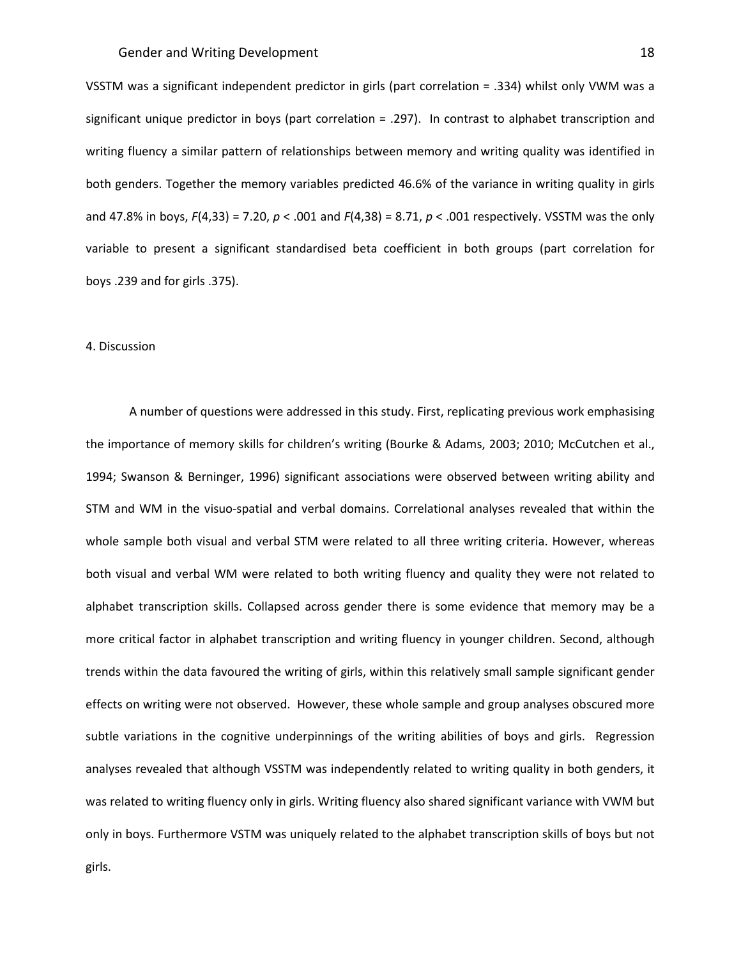VSSTM was a significant independent predictor in girls (part correlation = .334) whilst only VWM was a significant unique predictor in boys (part correlation = .297). In contrast to alphabet transcription and writing fluency a similar pattern of relationships between memory and writing quality was identified in both genders. Together the memory variables predicted 46.6% of the variance in writing quality in girls and 47.8% in boys, *F*(4,33) = 7.20, *p* < .001 and *F*(4,38) = 8.71, *p* < .001 respectively. VSSTM was the only variable to present a significant standardised beta coefficient in both groups (part correlation for boys .239 and for girls .375).

#### 4. Discussion

A number of questions were addressed in this study. First, replicating previous work emphasising the importance of memory skills for children's writing (Bourke & Adams, 2003; 2010; McCutchen et al., 1994; Swanson & Berninger, 1996) significant associations were observed between writing ability and STM and WM in the visuo-spatial and verbal domains. Correlational analyses revealed that within the whole sample both visual and verbal STM were related to all three writing criteria. However, whereas both visual and verbal WM were related to both writing fluency and quality they were not related to alphabet transcription skills. Collapsed across gender there is some evidence that memory may be a more critical factor in alphabet transcription and writing fluency in younger children. Second, although trends within the data favoured the writing of girls, within this relatively small sample significant gender effects on writing were not observed. However, these whole sample and group analyses obscured more subtle variations in the cognitive underpinnings of the writing abilities of boys and girls. Regression analyses revealed that although VSSTM was independently related to writing quality in both genders, it was related to writing fluency only in girls. Writing fluency also shared significant variance with VWM but only in boys. Furthermore VSTM was uniquely related to the alphabet transcription skills of boys but not girls.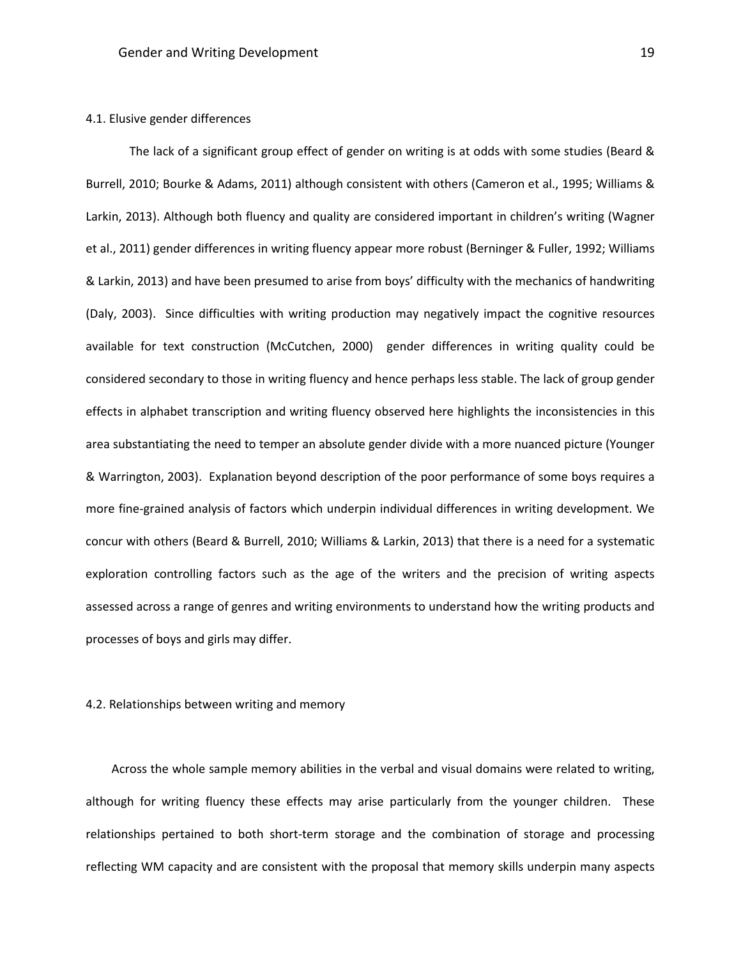## 4.1. Elusive gender differences

The lack of a significant group effect of gender on writing is at odds with some studies (Beard & Burrell, 2010; Bourke & Adams, 2011) although consistent with others (Cameron et al., 1995; Williams & Larkin, 2013). Although both fluency and quality are considered important in children's writing (Wagner et al., 2011) gender differences in writing fluency appear more robust (Berninger & Fuller, 1992; Williams & Larkin, 2013) and have been presumed to arise from boys' difficulty with the mechanics of handwriting (Daly, 2003). Since difficulties with writing production may negatively impact the cognitive resources available for text construction (McCutchen, 2000) gender differences in writing quality could be considered secondary to those in writing fluency and hence perhaps less stable. The lack of group gender effects in alphabet transcription and writing fluency observed here highlights the inconsistencies in this area substantiating the need to temper an absolute gender divide with a more nuanced picture (Younger & Warrington, 2003). Explanation beyond description of the poor performance of some boys requires a more fine-grained analysis of factors which underpin individual differences in writing development. We concur with others (Beard & Burrell, 2010; Williams & Larkin, 2013) that there is a need for a systematic exploration controlling factors such as the age of the writers and the precision of writing aspects assessed across a range of genres and writing environments to understand how the writing products and processes of boys and girls may differ.

## 4.2. Relationships between writing and memory

Across the whole sample memory abilities in the verbal and visual domains were related to writing, although for writing fluency these effects may arise particularly from the younger children. These relationships pertained to both short-term storage and the combination of storage and processing reflecting WM capacity and are consistent with the proposal that memory skills underpin many aspects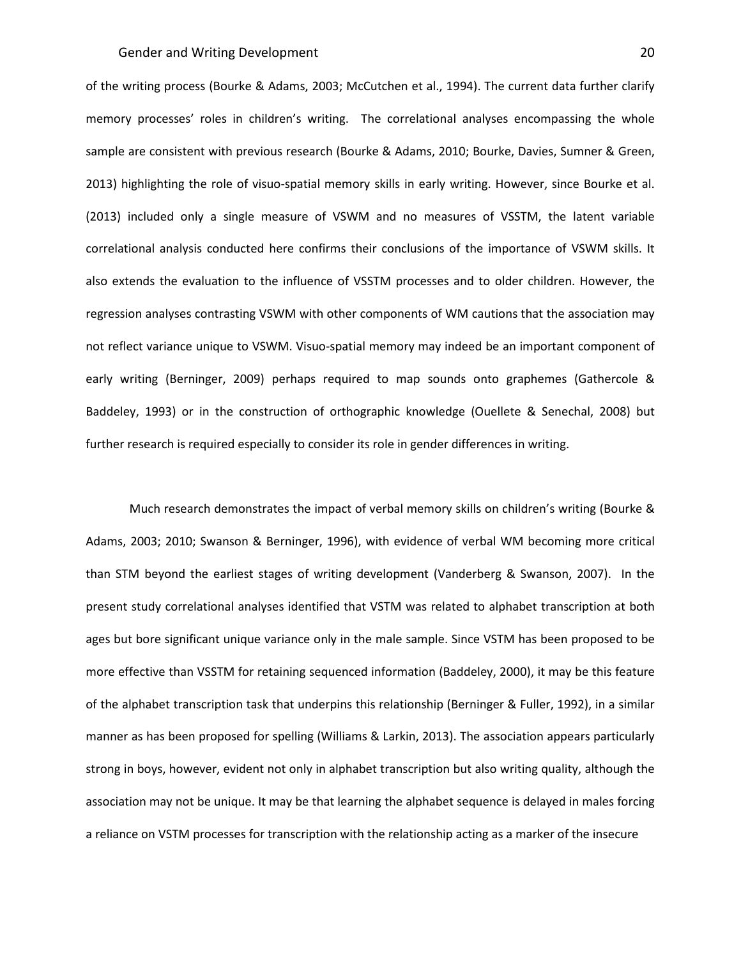of the writing process (Bourke & Adams, 2003; McCutchen et al., 1994). The current data further clarify memory processes' roles in children's writing. The correlational analyses encompassing the whole sample are consistent with previous research (Bourke & Adams, 2010; Bourke, Davies, Sumner & Green, 2013) highlighting the role of visuo-spatial memory skills in early writing. However, since Bourke et al. (2013) included only a single measure of VSWM and no measures of VSSTM, the latent variable correlational analysis conducted here confirms their conclusions of the importance of VSWM skills. It also extends the evaluation to the influence of VSSTM processes and to older children. However, the regression analyses contrasting VSWM with other components of WM cautions that the association may not reflect variance unique to VSWM. Visuo-spatial memory may indeed be an important component of early writing (Berninger, 2009) perhaps required to map sounds onto graphemes (Gathercole & Baddeley, 1993) or in the construction of orthographic knowledge (Ouellete & Senechal, 2008) but further research is required especially to consider its role in gender differences in writing.

Much research demonstrates the impact of verbal memory skills on children's writing (Bourke & Adams, 2003; 2010; Swanson & Berninger, 1996), with evidence of verbal WM becoming more critical than STM beyond the earliest stages of writing development (Vanderberg & Swanson, 2007). In the present study correlational analyses identified that VSTM was related to alphabet transcription at both ages but bore significant unique variance only in the male sample. Since VSTM has been proposed to be more effective than VSSTM for retaining sequenced information (Baddeley, 2000), it may be this feature of the alphabet transcription task that underpins this relationship (Berninger & Fuller, 1992), in a similar manner as has been proposed for spelling (Williams & Larkin, 2013). The association appears particularly strong in boys, however, evident not only in alphabet transcription but also writing quality, although the association may not be unique. It may be that learning the alphabet sequence is delayed in males forcing a reliance on VSTM processes for transcription with the relationship acting as a marker of the insecure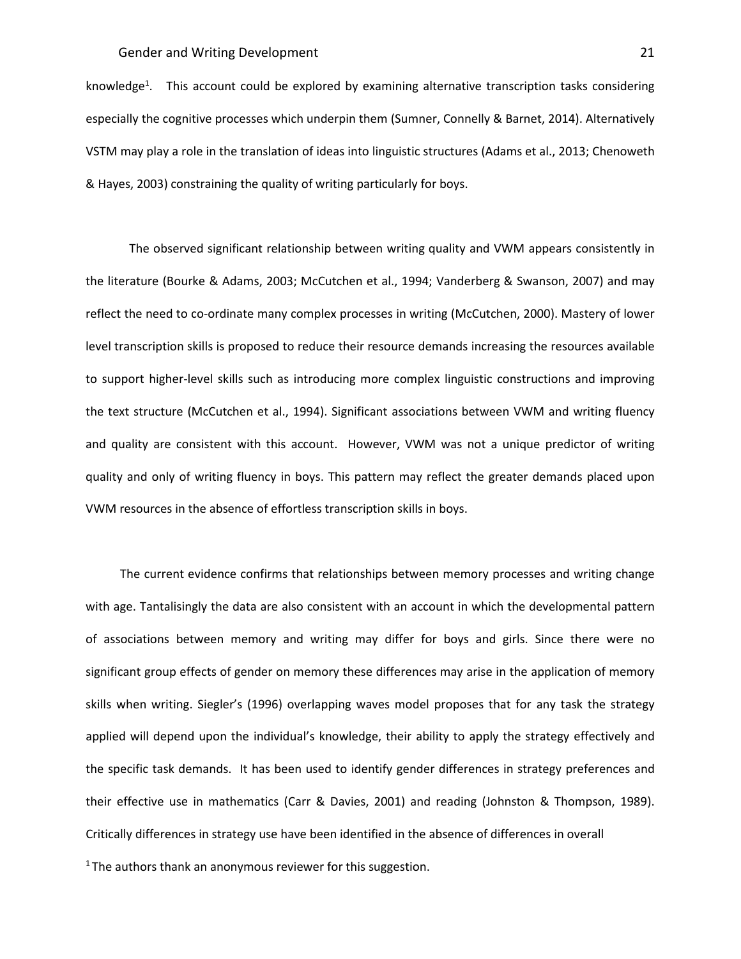knowledge<sup>1</sup>. This account could be explored by examining alternative transcription tasks considering especially the cognitive processes which underpin them (Sumner, Connelly & Barnet, 2014). Alternatively VSTM may play a role in the translation of ideas into linguistic structures (Adams et al., 2013; Chenoweth & Hayes, 2003) constraining the quality of writing particularly for boys.

The observed significant relationship between writing quality and VWM appears consistently in the literature (Bourke & Adams, 2003; McCutchen et al., 1994; Vanderberg & Swanson, 2007) and may reflect the need to co-ordinate many complex processes in writing (McCutchen, 2000). Mastery of lower level transcription skills is proposed to reduce their resource demands increasing the resources available to support higher-level skills such as introducing more complex linguistic constructions and improving the text structure (McCutchen et al., 1994). Significant associations between VWM and writing fluency and quality are consistent with this account. However, VWM was not a unique predictor of writing quality and only of writing fluency in boys. This pattern may reflect the greater demands placed upon VWM resources in the absence of effortless transcription skills in boys.

The current evidence confirms that relationships between memory processes and writing change with age. Tantalisingly the data are also consistent with an account in which the developmental pattern of associations between memory and writing may differ for boys and girls. Since there were no significant group effects of gender on memory these differences may arise in the application of memory skills when writing. Siegler's (1996) overlapping waves model proposes that for any task the strategy applied will depend upon the individual's knowledge, their ability to apply the strategy effectively and the specific task demands. It has been used to identify gender differences in strategy preferences and their effective use in mathematics (Carr & Davies, 2001) and reading (Johnston & Thompson, 1989). Critically differences in strategy use have been identified in the absence of differences in overall <sup>1</sup> The authors thank an anonymous reviewer for this suggestion.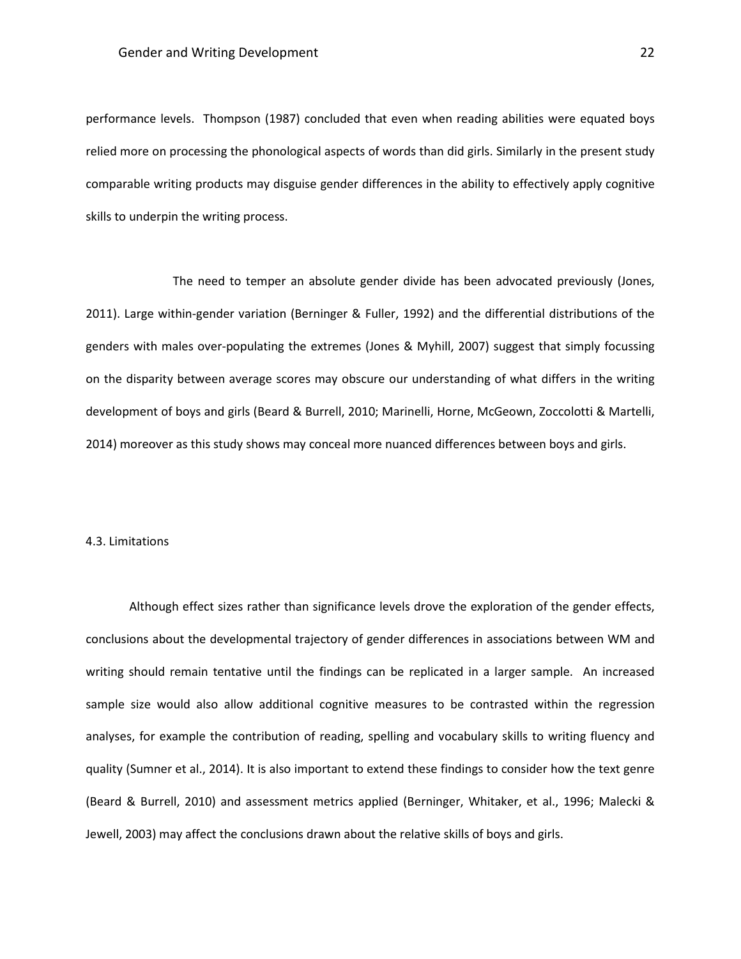performance levels. Thompson (1987) concluded that even when reading abilities were equated boys relied more on processing the phonological aspects of words than did girls. Similarly in the present study comparable writing products may disguise gender differences in the ability to effectively apply cognitive skills to underpin the writing process.

The need to temper an absolute gender divide has been advocated previously (Jones, 2011). Large within-gender variation (Berninger & Fuller, 1992) and the differential distributions of the genders with males over-populating the extremes (Jones & Myhill, 2007) suggest that simply focussing on the disparity between average scores may obscure our understanding of what differs in the writing development of boys and girls (Beard & Burrell, 2010; Marinelli, Horne, McGeown, Zoccolotti & Martelli, 2014) moreover as this study shows may conceal more nuanced differences between boys and girls.

## 4.3. Limitations

Although effect sizes rather than significance levels drove the exploration of the gender effects, conclusions about the developmental trajectory of gender differences in associations between WM and writing should remain tentative until the findings can be replicated in a larger sample. An increased sample size would also allow additional cognitive measures to be contrasted within the regression analyses, for example the contribution of reading, spelling and vocabulary skills to writing fluency and quality (Sumner et al., 2014). It is also important to extend these findings to consider how the text genre (Beard & Burrell, 2010) and assessment metrics applied (Berninger, Whitaker, et al., 1996; Malecki & Jewell, 2003) may affect the conclusions drawn about the relative skills of boys and girls.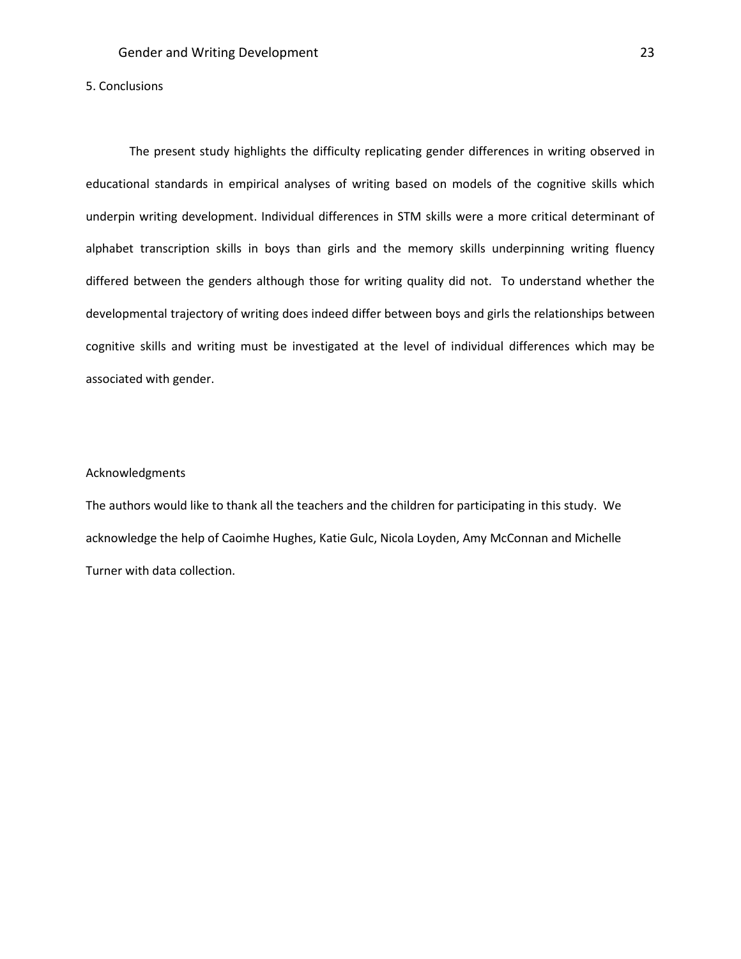# 5. Conclusions

The present study highlights the difficulty replicating gender differences in writing observed in educational standards in empirical analyses of writing based on models of the cognitive skills which underpin writing development. Individual differences in STM skills were a more critical determinant of alphabet transcription skills in boys than girls and the memory skills underpinning writing fluency differed between the genders although those for writing quality did not. To understand whether the developmental trajectory of writing does indeed differ between boys and girls the relationships between cognitive skills and writing must be investigated at the level of individual differences which may be associated with gender.

#### Acknowledgments

The authors would like to thank all the teachers and the children for participating in this study. We acknowledge the help of Caoimhe Hughes, Katie Gulc, Nicola Loyden, Amy McConnan and Michelle Turner with data collection.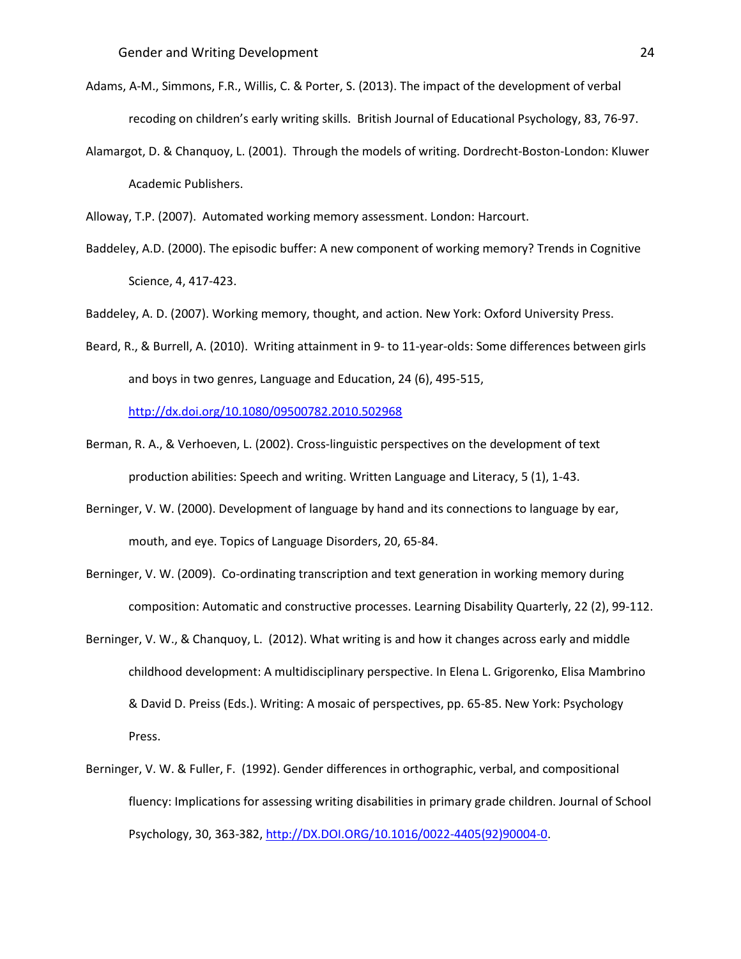- Adams, A-M., Simmons, F.R., Willis, C. & Porter, S. (2013). The impact of the development of verbal recoding on children's early writing skills. British Journal of Educational Psychology, 83, 76-97.
- Alamargot, D. & Chanquoy, L. (2001). Through the models of writing. Dordrecht-Boston-London: Kluwer Academic Publishers.

Alloway, T.P. (2007). Automated working memory assessment. London: Harcourt.

Baddeley, A.D. (2000). The episodic buffer: A new component of working memory? Trends in Cognitive Science, 4, 417-423.

Baddeley, A. D. (2007). Working memory, thought, and action. New York: Oxford University Press.

Beard, R., & Burrell, A. (2010). Writing attainment in 9- to 11-year-olds: Some differences between girls and boys in two genres, Language and Education, 24 (6), 495-515,

<http://dx.doi.org/10.1080/09500782.2010.502968>

- Berman, R. A., & Verhoeven, L. (2002). Cross-linguistic perspectives on the development of text production abilities: Speech and writing. Written Language and Literacy, 5 (1), 1-43.
- Berninger, V. W. (2000). Development of language by hand and its connections to language by ear, mouth, and eye. Topics of Language Disorders, 20, 65-84.
- Berninger, V. W. (2009). Co-ordinating transcription and text generation in working memory during composition: Automatic and constructive processes. Learning Disability Quarterly, 22 (2), 99-112.
- Berninger, V. W., & Chanquoy, L. (2012). What writing is and how it changes across early and middle childhood development: A multidisciplinary perspective. In Elena L. Grigorenko, Elisa Mambrino & David D. Preiss (Eds.). Writing: A mosaic of perspectives, pp. 65-85. New York: Psychology Press.
- Berninger, V. W. & Fuller, F. (1992). Gender differences in orthographic, verbal, and compositional fluency: Implications for assessing writing disabilities in primary grade children. Journal of School Psychology, 30, 363-382[, http://DX.DOI.ORG/10.1016/0022-4405\(92\)90004-0.](http://dx.doi.org/10.1016/0022-4405(92)90004-0)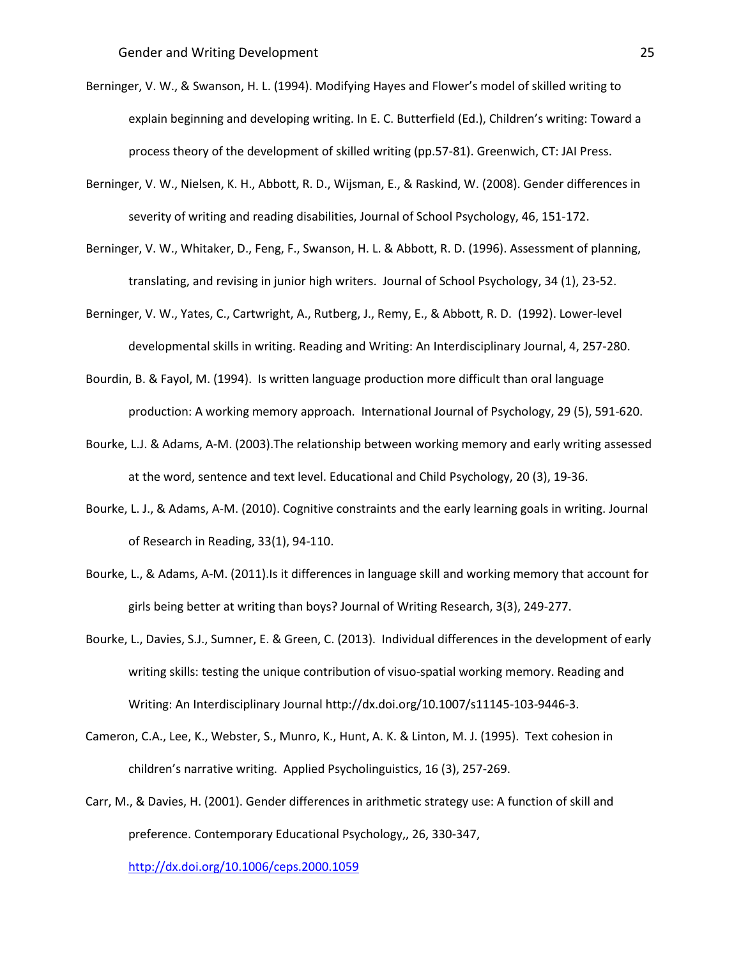- Berninger, V. W., & Swanson, H. L. (1994). Modifying Hayes and Flower's model of skilled writing to explain beginning and developing writing. In E. C. Butterfield (Ed.), Children's writing: Toward a process theory of the development of skilled writing (pp.57-81). Greenwich, CT: JAI Press.
- Berninger, V. W., Nielsen, K. H., Abbott, R. D., Wijsman, E., & Raskind, W. (2008). Gender differences in severity of writing and reading disabilities, Journal of School Psychology, 46, 151-172.
- Berninger, V. W., Whitaker, D., Feng, F., Swanson, H. L. & Abbott, R. D. (1996). Assessment of planning, translating, and revising in junior high writers. Journal of School Psychology, 34 (1), 23-52.
- Berninger, V. W., Yates, C., Cartwright, A., Rutberg, J., Remy, E., & Abbott, R. D. (1992). Lower-level developmental skills in writing. Reading and Writing: An Interdisciplinary Journal, 4, 257-280.
- Bourdin, B. & Fayol, M. (1994). Is written language production more difficult than oral language production: A working memory approach. International Journal of Psychology, 29 (5), 591-620.
- Bourke, L.J. & Adams, A-M. (2003).The relationship between working memory and early writing assessed at the word, sentence and text level. Educational and Child Psychology, 20 (3), 19-36.
- Bourke, L. J., & Adams, A-M. (2010). Cognitive constraints and the early learning goals in writing. Journal of Research in Reading, 33(1), 94-110.
- Bourke, L., & Adams, A-M. (2011).Is it differences in language skill and working memory that account for girls being better at writing than boys? Journal of Writing Research, 3(3), 249-277.
- Bourke, L., Davies, S.J., Sumner, E. & Green, C. (2013). Individual differences in the development of early writing skills: testing the unique contribution of visuo-spatial working memory. Reading and Writing: An Interdisciplinary Journal http://dx.doi.org/10.1007/s11145-103-9446-3.
- Cameron, C.A., Lee, K., Webster, S., Munro, K., Hunt, A. K. & Linton, M. J. (1995). Text cohesion in children's narrative writing. Applied Psycholinguistics, 16 (3), 257-269.
- Carr, M., & Davies, H. (2001). Gender differences in arithmetic strategy use: A function of skill and preference. Contemporary Educational Psychology,, 26, 330-347,

<http://dx.doi.org/10.1006/ceps.2000.1059>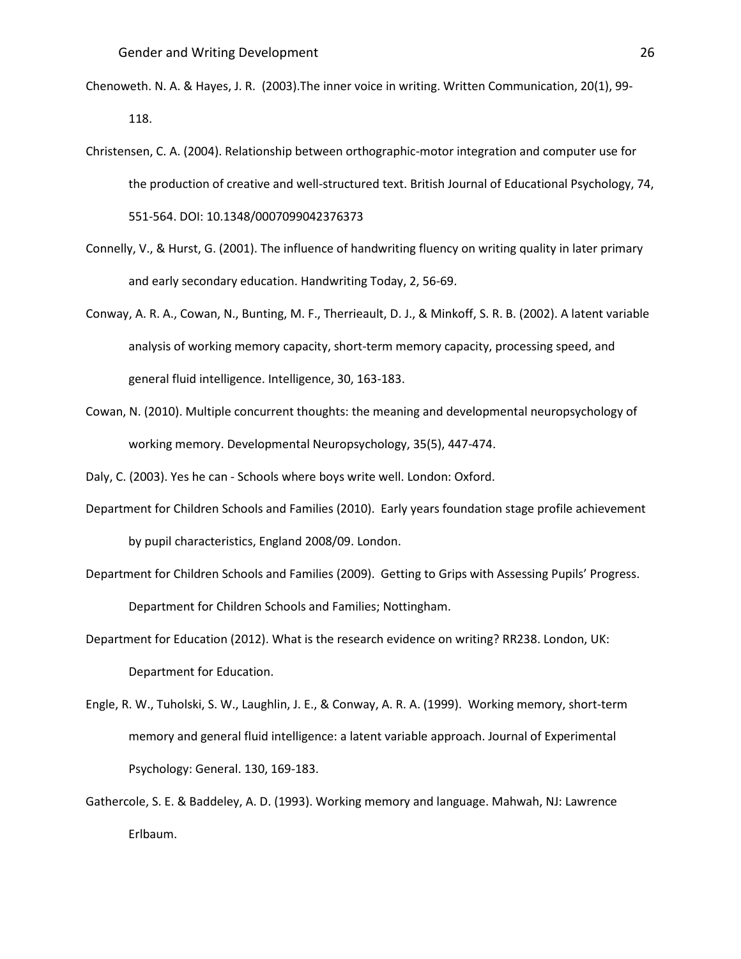- Chenoweth. N. A. & Hayes, J. R. (2003).The inner voice in writing. Written Communication, 20(1), 99- 118.
- Christensen, C. A. (2004). Relationship between orthographic-motor integration and computer use for the production of creative and well-structured text. British Journal of Educational Psychology, 74, 551-564. DOI: 10.1348/0007099042376373
- Connelly, V., & Hurst, G. (2001). The influence of handwriting fluency on writing quality in later primary and early secondary education. Handwriting Today, 2, 56-69.
- Conway, A. R. A., Cowan, N., Bunting, M. F., Therrieault, D. J., & Minkoff, S. R. B. (2002). A latent variable analysis of working memory capacity, short-term memory capacity, processing speed, and general fluid intelligence. Intelligence, 30, 163-183.
- Cowan, N. (2010). Multiple concurrent thoughts: the meaning and developmental neuropsychology of working memory. Developmental Neuropsychology, 35(5), 447-474.

Daly, C. (2003). Yes he can - Schools where boys write well. London: Oxford.

- Department for Children Schools and Families (2010). Early years foundation stage profile achievement by pupil characteristics, England 2008/09. London.
- Department for Children Schools and Families (2009). Getting to Grips with Assessing Pupils' Progress. Department for Children Schools and Families; Nottingham.
- Department for Education (2012). What is the research evidence on writing? RR238. London, UK: Department for Education.
- Engle, R. W., Tuholski, S. W., Laughlin, J. E., & Conway, A. R. A. (1999). Working memory, short-term memory and general fluid intelligence: a latent variable approach. Journal of Experimental Psychology: General. 130, 169-183.
- Gathercole, S. E. & Baddeley, A. D. (1993). Working memory and language. Mahwah, NJ: Lawrence Erlbaum.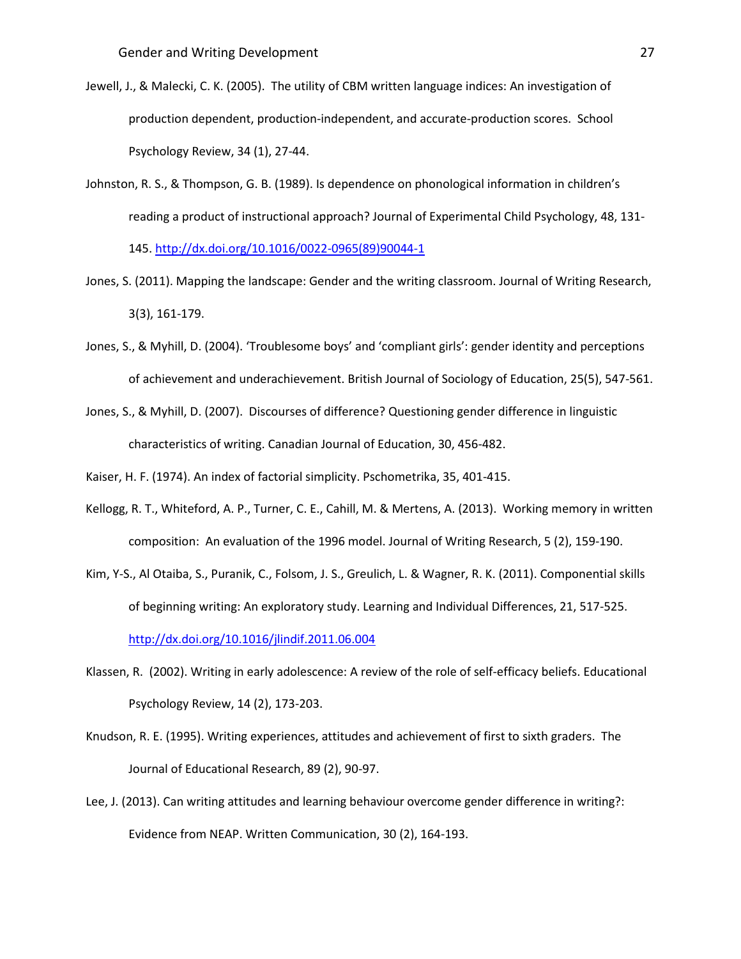- Jewell, J., & Malecki, C. K. (2005). The utility of CBM written language indices: An investigation of production dependent, production-independent, and accurate-production scores. School Psychology Review, 34 (1), 27-44.
- Johnston, R. S., & Thompson, G. B. (1989). Is dependence on phonological information in children's reading a product of instructional approach? Journal of Experimental Child Psychology, 48, 131- 145. [http://dx.doi.org/10.1016/0022-0965\(89\)90044-1](http://dx.doi.org/10.1016/0022-0965(89)90044-1)
- Jones, S. (2011). Mapping the landscape: Gender and the writing classroom. Journal of Writing Research, 3(3), 161-179.
- Jones, S., & Myhill, D. (2004). 'Troublesome boys' and 'compliant girls': gender identity and perceptions of achievement and underachievement. British Journal of Sociology of Education, 25(5), 547-561.
- Jones, S., & Myhill, D. (2007). Discourses of difference? Questioning gender difference in linguistic characteristics of writing. Canadian Journal of Education, 30, 456-482.

Kaiser, H. F. (1974). An index of factorial simplicity. Pschometrika, 35, 401-415.

- Kellogg, R. T., Whiteford, A. P., Turner, C. E., Cahill, M. & Mertens, A. (2013). Working memory in written composition: An evaluation of the 1996 model. Journal of Writing Research, 5 (2), 159-190.
- Kim, Y-S., Al Otaiba, S., Puranik, C., Folsom, J. S., Greulich, L. & Wagner, R. K. (2011). Componential skills of beginning writing: An exploratory study. Learning and Individual Differences, 21, 517-525. <http://dx.doi.org/10.1016/jlindif.2011.06.004>
- Klassen, R. (2002). Writing in early adolescence: A review of the role of self-efficacy beliefs. Educational Psychology Review, 14 (2), 173-203.
- Knudson, R. E. (1995). Writing experiences, attitudes and achievement of first to sixth graders. The Journal of Educational Research, 89 (2), 90-97.
- Lee, J. (2013). Can writing attitudes and learning behaviour overcome gender difference in writing?: Evidence from NEAP. Written Communication, 30 (2), 164-193.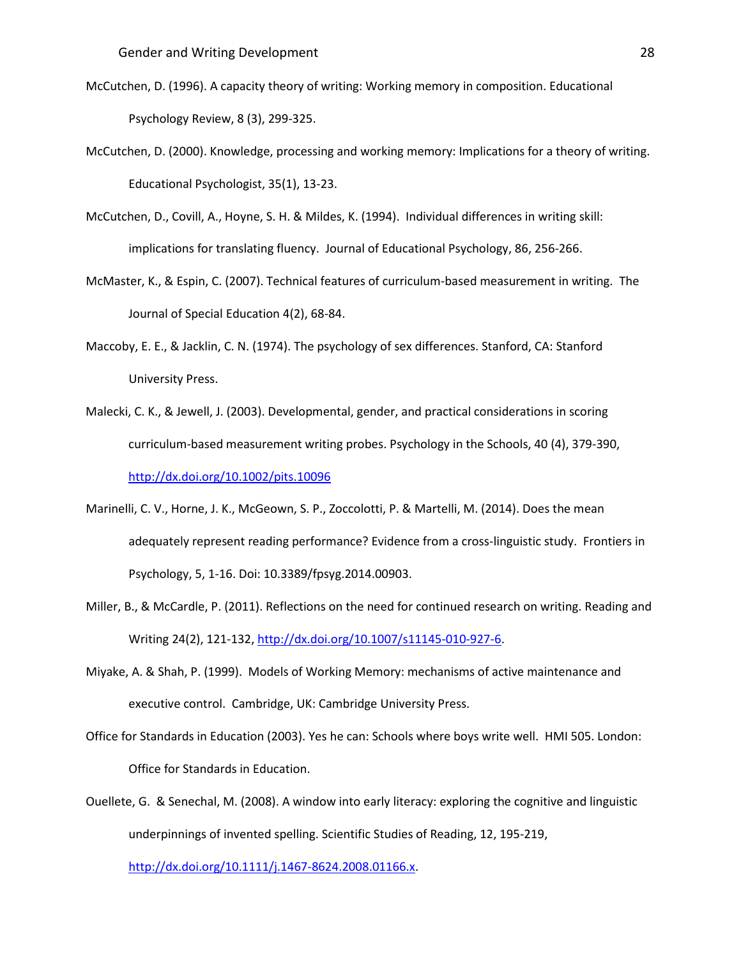- McCutchen, D. (1996). A capacity theory of writing: Working memory in composition. Educational Psychology Review, 8 (3), 299-325.
- McCutchen, D. (2000). Knowledge, processing and working memory: Implications for a theory of writing. Educational Psychologist, 35(1), 13-23.
- McCutchen, D., Covill, A., Hoyne, S. H. & Mildes, K. (1994). Individual differences in writing skill: implications for translating fluency. Journal of Educational Psychology, 86, 256-266.
- McMaster, K., & Espin, C. (2007). Technical features of curriculum-based measurement in writing. The Journal of Special Education 4(2), 68-84.
- Maccoby, E. E., & Jacklin, C. N. (1974). The psychology of sex differences. Stanford, CA: Stanford University Press.
- Malecki, C. K., & Jewell, J. (2003). Developmental, gender, and practical considerations in scoring curriculum-based measurement writing probes. Psychology in the Schools, 40 (4), 379-390, <http://dx.doi.org/10.1002/pits.10096>
- Marinelli, C. V., Horne, J. K., McGeown, S. P., Zoccolotti, P. & Martelli, M. (2014). Does the mean adequately represent reading performance? Evidence from a cross-linguistic study. Frontiers in Psychology, 5, 1-16. Doi: 10.3389/fpsyg.2014.00903.
- Miller, B., & McCardle, P. (2011). Reflections on the need for continued research on writing. Reading and Writing 24(2), 121-132, [http://dx.doi.org/10.1007/s11145-010-927-6.](http://dx.doi.org/10.1007/s11145-010-927-6)
- Miyake, A. & Shah, P. (1999). Models of Working Memory: mechanisms of active maintenance and executive control. Cambridge, UK: Cambridge University Press.
- Office for Standards in Education (2003). Yes he can: Schools where boys write well. HMI 505. London: Office for Standards in Education.
- Ouellete, G. & Senechal, M. (2008). A window into early literacy: exploring the cognitive and linguistic underpinnings of invented spelling. Scientific Studies of Reading, 12, 195-219,

[http://dx.doi.org/10.1111/j.1467-8624.2008.01166.x.](http://dx.doi.org/10.1111/j.1467-8624.2008.01166.x)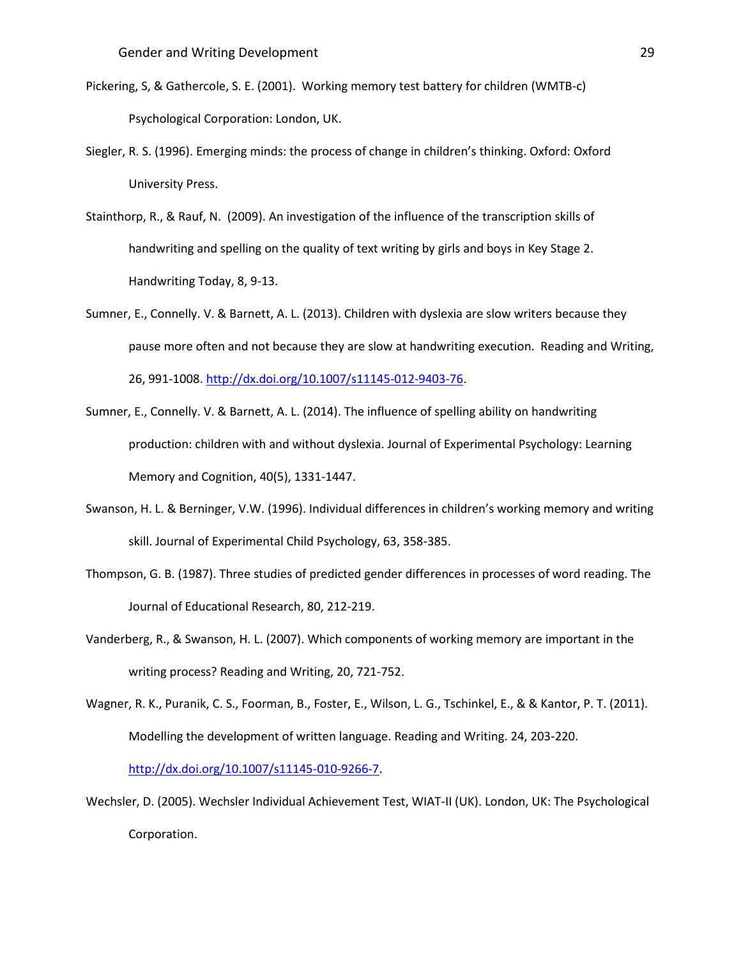- Pickering, S, & Gathercole, S. E. (2001). Working memory test battery for children (WMTB-c) Psychological Corporation: London, UK.
- Siegler, R. S. (1996). Emerging minds: the process of change in children's thinking. Oxford: Oxford University Press.
- Stainthorp, R., & Rauf, N. (2009). An investigation of the influence of the transcription skills of handwriting and spelling on the quality of text writing by girls and boys in Key Stage 2. Handwriting Today, 8, 9-13.
- Sumner, E., Connelly. V. & Barnett, A. L. (2013). Children with dyslexia are slow writers because they pause more often and not because they are slow at handwriting execution. Reading and Writing, 26, 991-1008. [http://dx.doi.org/10.1007/s11145-012-9403-76.](http://dx.doi.org/10.1007/s11145-012-9403-76)
- Sumner, E., Connelly. V. & Barnett, A. L. (2014). The influence of spelling ability on handwriting production: children with and without dyslexia. Journal of Experimental Psychology: Learning Memory and Cognition, 40(5), 1331-1447.
- Swanson, H. L. & Berninger, V.W. (1996). Individual differences in children's working memory and writing skill. Journal of Experimental Child Psychology, 63, 358-385.
- Thompson, G. B. (1987). Three studies of predicted gender differences in processes of word reading. The Journal of Educational Research, 80, 212-219.
- Vanderberg, R., & Swanson, H. L. (2007). Which components of working memory are important in the writing process? Reading and Writing, 20, 721-752.
- Wagner, R. K., Puranik, C. S., Foorman, B., Foster, E., Wilson, L. G., Tschinkel, E., & & Kantor, P. T. (2011). Modelling the development of written language. Reading and Writing. 24, 203-220. [http://dx.doi.org/10.1007/s11145-010-9266-7.](http://dx.doi.org/10.1007/s11145-010-9266-7)
- Wechsler, D. (2005). Wechsler Individual Achievement Test, WIAT-II (UK). London, UK: The Psychological Corporation.